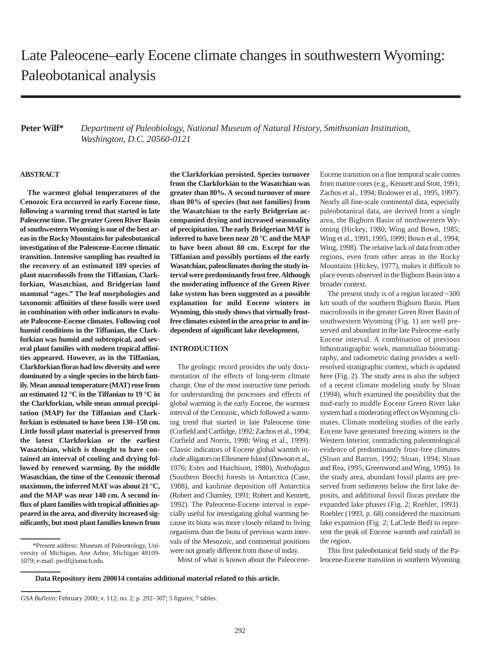**Peter Wilf\*** *Department of Paleobiology, National Museum of Natural History, Smithsonian Institution, Washington, D.C. 20560-0121*

### **ABSTRACT**

**The warmest global temperatures of the Cenozoic Era occurred in early Eocene time, following a warming trend that started in late Paleocene time. The greater Green River Basin of southwestern Wyoming is one of the best areas in the Rocky Mountains for paleobotanical investigation of the Paleocene-Eocene climatic transition. Intensive sampling has resulted in the recovery of an estimated 189 species of plant macrofossils from the Tiffanian, Clarkforkian, Wasatchian, and Bridgerian land mammal "ages." The leaf morphologies and taxonomic affinities of these fossils were used in combination with other indicators to evaluate Paleocene-Eocene climates. Following cool humid conditions in the Tiffanian, the Clarkforkian was humid and subtropical, and several plant families with modern tropical affinities appeared. However, as in the Tiffanian, Clarkforkian floras had low diversity and were dominated by a single species in the birch family. Mean annual temperature (MAT) rose from an estimated 12 °C in the Tiffanian to 19 °C in the Clarkforkian, while mean annual precipitation (MAP) for the Tiffanian and Clarkforkian is estimated to have been 130–150 cm. Little fossil plant material is preserved from the latest Clarkforkian or the earliest Wasatchian, which is thought to have contained an interval of cooling and drying followed by renewed warming. By the middle Wasatchian, the time of the Cenozoic thermal maximum, the inferred MAT was about 21 °C, and the MAP was near 140 cm. A second influx of plant families with tropical affinities appeared in the area, and diversity increased significantly, but most plant families known from** **the Clarkforkian persisted. Species turnover from the Clarkforkian to the Wasatchian was greater than 80%. A second turnover of more than 80% of species (but not families) from the Wasatchian to the early Bridgerian accompanied drying and increased seasonality of precipitation. The early Bridgerian MAT is inferred to have been near 20 °C and the MAP to have been about 80 cm. Except for the Tiffanian and possibly portions of the early Wasatchian, paleoclimates during the study interval were predominantly frost free. Although the moderating influence of the Green River lake system has been suggested as a possible explanation for mild Eocene winters in Wyoming, this study shows that virtually frostfree climates existed in the area prior to and independent of significant lake development.**

# **INTRODUCTION**

The geologic record provides the only documentation of the effects of long-term climate change. One of the most instructive time periods for understanding the processes and effects of global warming is the early Eocene, the warmest interval of the Cenozoic, which followed a warming trend that started in late Paleocene time (Corfield and Cartlidge, 1992; Zachos et al., 1994; Corfield and Norris, 1998; Wing et al., 1999). Classic indicators of Eocene global warmth include alligators on Ellesmere Island (Dawson et al., 1976; Estes and Hutchison, 1980), *Nothofagus* (Southern Beech) forests in Antarctica (Case, 1988), and kaolinite deposition off Antarctica (Robert and Chamley, 1991; Robert and Kennett, 1992). The Paleocene-Eocene interval is especially useful for investigating global warming because its biota was more closely related to living organisms than the biota of previous warm intervals of the Mesozoic, and continental positions were not greatly different from those of today.

Most of what is known about the Paleocene-

Eocene transition on a fine temporal scale comes from marine cores (e.g., Kennett and Stott, 1991; Zachos et al., 1994; Bralower et al., 1995, 1997). Nearly all fine-scale continental data, especially paleobotanical data, are derived from a single area, the Bighorn Basin of northwestern Wyoming (Hickey, 1980; Wing and Bown, 1985; Wing et al., 1991, 1995, 1999; Bown et al., 1994; Wing, 1998). The relative lack of data from other regions, even from other areas in the Rocky Mountains (Hickey, 1977), makes it difficult to place events observed in the Bighorn Basin into a broader context.

The present study is of a region located ~300 km south of the southern Bighorn Basin. Plant macrofossils in the greater Green River Basin of southwestern Wyoming (Fig. 1) are well preserved and abundant in the late Paleocene–early Eocene interval. A combination of previous lithostratigraphic work, mammalian biostratigraphy, and radiometric dating provides a wellresolved stratigraphic context, which is updated here (Fig. 2). The study area is also the subject of a recent climate modeling study by Sloan (1994), which examined the possibility that the mid-early to middle Eocene Green River lake system had a moderating effect on Wyoming climates. Climate modeling studies of the early Eocene have generated freezing winters in the Western Interior, contradicting paleontological evidence of predominantly frost-free climates (Sloan and Barron, 1992; Sloan, 1994; Sloan and Rea, 1995; Greenwood and Wing, 1995). In the study area, abundant fossil plants are preserved from sediments below the first lake deposits, and additional fossil floras predate the expanded lake phases (Fig. 2; Roehler, 1993). Roehler (1993, p. 68) considered the maximum lake expansion (Fig. 2; LaClede Bed) to represent the peak of Eocene warmth and rainfall in the region.

This first paleobotanical field study of the Paleocene-Eocene transition in southern Wyoming

<sup>\*</sup>Present address: Museum of Paleontology, University of Michigan, Ann Arbor, Michigan 48109- 1079; e-mail: pwilf@umich.edu.

**Data Repository item 200014 contains additional material related to this article.**

*GSA Bulletin*; February 2000; v. 112; no. 2; p. 292–307; 5 figures; 7 tables.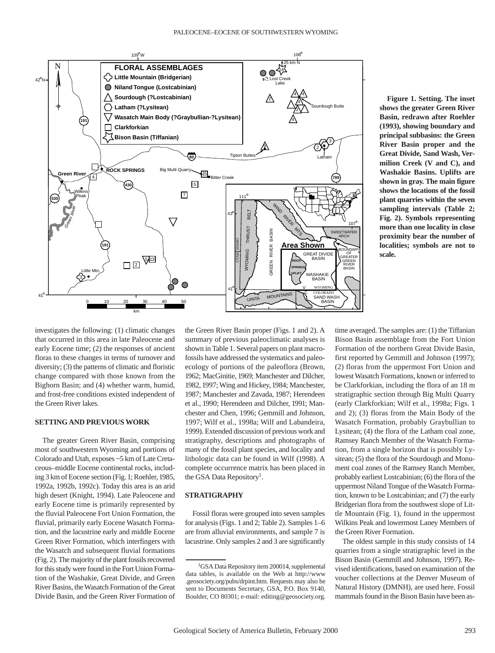

**Figure 1. Setting. The inset shows the greater Green River Basin, redrawn after Roehler (1993), showing boundary and principal subbasins: the Green River Basin proper and the Great Divide, Sand Wash, Vermilion Creek (V and C), and Washakie Basins. Uplifts are shown in gray. The main figure shows the locations of the fossil plant quarries within the seven sampling intervals (Table 2; Fig. 2). Symbols representing more than one locality in close proximity bear the number of localities; symbols are not to scale.**

investigates the following: (1) climatic changes that occurred in this area in late Paleocene and early Eocene time; (2) the responses of ancient floras to these changes in terms of turnover and diversity; (3) the patterns of climatic and floristic change compared with those known from the Bighorn Basin; and (4) whether warm, humid, and frost-free conditions existed independent of the Green River lakes.

## **SETTING AND PREVIOUS WORK**

The greater Green River Basin, comprising most of southwestern Wyoming and portions of Colorado and Utah, exposes ~5 km of Late Cretaceous–middle Eocene continental rocks, including 3 km of Eocene section (Fig.1; Roehler,1985, 1992a, 1992b, 1992c). Today this area is an arid high desert (Knight, 1994). Late Paleocene and early Eocene time is primarily represented by the fluvial Paleocene Fort Union Formation, the fluvial, primarily early Eocene Wasatch Formation, and the lacustrine early and middle Eocene Green River Formation, which interfingers with the Wasatch and subsequent fluvial formations (Fig. 2). The majority of the plant fossils recovered for this study were found in the Fort Union Formation of the Washakie, Great Divide, and Green River Basins, the Wasatch Formation of the Great Divide Basin, and the Green River Formation of

the Green River Basin proper (Figs. 1 and 2). A summary of previous paleoclimatic analyses is shown in Table 1. Several papers on plant macrofossils have addressed the systematics and paleoecology of portions of the paleoflora (Brown, 1962; MacGinitie, 1969; Manchester and Dilcher, 1982, 1997; Wing and Hickey, 1984; Manchester, 1987; Manchester and Zavada, 1987; Herendeen et al., 1990; Herendeen and Dilcher, 1991; Manchester and Chen, 1996; Gemmill and Johnson, 1997; Wilf et al., 1998a; Wilf and Labandeira, 1999). Extended discussion of previous work and stratigraphy, descriptions and photographs of many of the fossil plant species, and locality and lithologic data can be found in Wilf (1998). A complete occurrence matrix has been placed in the GSA Data Repository<sup>1</sup>.

# **STRATIGRAPHY**

Fossil floras were grouped into seven samples for analysis (Figs. 1 and 2; Table 2). Samples 1–6 are from alluvial environments, and sample 7 is lacustrine. Only samples 2 and 3 are significantly time averaged. The samples are: (1) the Tiffanian Bison Basin assemblage from the Fort Union Formation of the northern Great Divide Basin, first reported by Gemmill and Johnson (1997); (2) floras from the uppermost Fort Union and lowest Wasatch Formations, known or inferred to be Clarkforkian, including the flora of an 18 m stratigraphic section through Big Multi Quarry (early Clarkforkian; Wilf et al., 1998a; Figs. 1 and 2); (3) floras from the Main Body of the Wasatch Formation, probably Graybullian to Lysitean; (4) the flora of the Latham coal zone, Ramsey Ranch Member of the Wasatch Formation, from a single horizon that is possibly Lysitean; (5) the flora of the Sourdough and Monument coal zones of the Ramsey Ranch Member, probably earliest Lostcabinian; (6) the flora of the uppermost Niland Tongue of the Wasatch Formation, known to be Lostcabinian; and (7) the early Bridgerian flora from the southwest slope of Little Mountain (Fig. 1), found in the uppermost Wilkins Peak and lowermost Laney Members of the Green River Formation.

The oldest sample in this study consists of 14 quarries from a single stratigraphic level in the Bison Basin (Gemmill and Johnson, 1997). Revised identifications, based on examination of the voucher collections at the Denver Museum of Natural History (DMNH), are used here. Fossil mammals found in the Bison Basin have been as-

<sup>&</sup>lt;sup>1</sup>GSA Data Repository item 200014, supplemental data tables, is available on the Web at http://www .geosociety.org/pubs/drpint.htm. Requests may also be sent to Documents Secretary, GSA, P.O. Box 9140, Boulder, CO 80301; e-mail: editing@geosociety.org.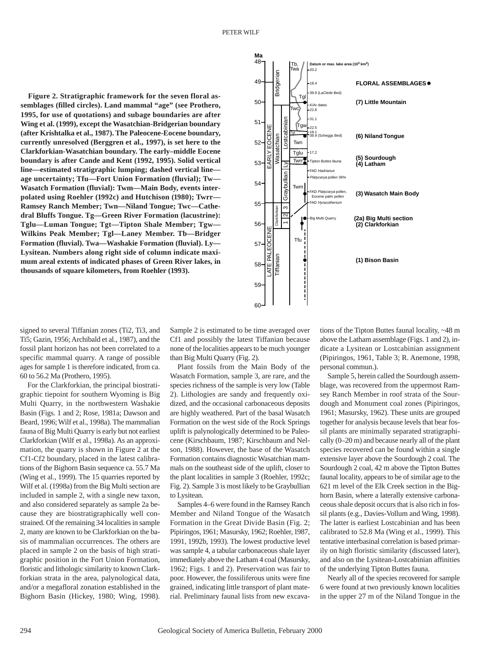**Figure 2.** Stratigraphie framework for the seven floral as-<br>
semisfage (for Frederic Centers), Land mannard "age" (ex Fredrers),<br>
Which can actual Society of America Bulletin, Frederic Geological Society of America Bull **Figure 2. Stratigraphic framework for the seven floral assemblages (filled circles). Land mammal "age" (see Prothero, 1995, for use of quotations) and subage boundaries are after Wing et al. (1999), except the Wasatchian-Bridgerian boundary (after Krishtalka et al., 1987). The Paleocene-Eocene boundary, currently unresolved (Berggren et al., 1997), is set here to the Clarkforkian-Wasatchian boundary. The early–middle Eocene boundary is after Cande and Kent (1992, 1995). Solid vertical line—estimated stratigraphic lumping; dashed vertical line age uncertainty; Tfu—Fort Union Formation (fluvial); Tw— Wasatch Formation (fluvial): Twm—Main Body, events interpolated using Roehler (1992c) and Hutchison (1980); Twrr— Ramsey Ranch Member; Twn—Niland Tongue; Twc—Cathedral Bluffs Tongue. Tg—Green River Formation (lacustrine): Tglu—Luman Tongue; Tgt—Tipton Shale Member; Tgw— Wilkins Peak Member; Tgl—Laney Member. Tb—Bridger Formation (fluvial). Twa—Washakie Formation (fluvial). Ly— Lysitean. Numbers along right side of column indicate maximum areal extents of indicated phases of Green River lakes, in thousands of square kilometers, from Roehler (1993).**



signed to several Tiffanian zones (Ti2, Ti3, and Ti5; Gazin, 1956; Archibald et al., 1987), and the fossil plant horizon has not been correlated to a specific mammal quarry. A range of possible ages for sample 1 is therefore indicated, from ca. 60 to 56.2 Ma (Prothero, 1995).

For the Clarkforkian, the principal biostratigraphic tiepoint for southern Wyoming is Big Multi Quarry, in the northwestern Washakie Basin (Figs. 1 and 2; Rose, 1981a; Dawson and Beard, 1996; Wilf et al., 1998a). The mammalian fauna of Big Multi Quarry is early but not earliest Clarkforkian (Wilf et al., 1998a). As an approximation, the quarry is shown in Figure 2 at the Cf1-Cf2 boundary, placed in the latest calibrations of the Bighorn Basin sequence ca. 55.7 Ma (Wing et al., 1999). The 15 quarries reported by Wilf et al. (1998a) from the Big Multi section are included in sample 2, with a single new taxon, and also considered separately as sample 2a because they are biostratigraphically well constrained. Of the remaining 34 localities in sample 2, many are known to be Clarkforkian on the basis of mammalian occurrences. The others are placed in sample 2 on the basis of high stratigraphic position in the Fort Union Formation, floristic and lithologic similarity to known Clarkforkian strata in the area, palynological data, and/or a megafloral zonation established in the Bighorn Basin (Hickey, 1980; Wing, 1998).

Sample 2 is estimated to be time averaged over Cf1 and possibly the latest Tiffanian because none of the localities appears to be much younger than Big Multi Quarry (Fig. 2).

Plant fossils from the Main Body of the Wasatch Formation, sample 3, are rare, and the species richness of the sample is very low (Table 2). Lithologies are sandy and frequently oxidized, and the occasional carbonaceous deposits are highly weathered. Part of the basal Wasatch Formation on the west side of the Rock Springs uplift is palynologically determined to be Paleocene (Kirschbaum, 1987; Kirschbaum and Nelson, 1988). However, the base of the Wasatch Formation contains diagnostic Wasatchian mammals on the southeast side of the uplift, closer to the plant localities in sample 3 (Roehler, 1992c; Fig. 2). Sample 3 is most likely to be Graybullian to Lysitean.

Samples 4–6 were found in the Ramsey Ranch Member and Niland Tongue of the Wasatch Formation in the Great Divide Basin (Fig. 2; Pipiringos, 1961; Masursky, 1962; Roehler, 1987, 1991, 1992b, 1993). The lowest productive level was sample 4, a tabular carbonaceous shale layer immediately above the Latham 4 coal (Masursky, 1962; Figs. 1 and 2). Preservation was fair to poor. However, the fossiliferous units were fine grained, indicating little transport of plant material. Preliminary faunal lists from new excavations of the Tipton Buttes faunal locality, ~48 m above the Latham assemblage (Figs. 1 and 2), indicate a Lysitean or Lostcabinian assignment (Pipiringos, 1961, Table 3; R. Anemone, 1998, personal commun.).

Sample 5, herein called the Sourdough assemblage, was recovered from the uppermost Ramsey Ranch Member in roof strata of the Sourdough and Monument coal zones (Pipiringos, 1961; Masursky, 1962). These units are grouped together for analysis because levels that bear fossil plants are minimally separated stratigraphically (0–20 m) and because nearly all of the plant species recovered can be found within a single extensive layer above the Sourdough 2 coal. The Sourdough 2 coal, 42 m above the Tipton Buttes faunal locality, appears to be of similar age to the 621 m level of the Elk Creek section in the Bighorn Basin, where a laterally extensive carbonaceous shale deposit occurs that is also rich in fossil plants (e.g., Davies-Vollum and Wing, 1998). The latter is earliest Lostcabinian and has been calibrated to 52.8 Ma (Wing et al., 1999). This tentative interbasinal correlation is based primarily on high floristic similarity (discussed later), and also on the Lysitean-Lostcabinian affinities of the underlying Tipton Buttes fauna.

Nearly all of the species recovered for sample 6 were found at two previously known localities in the upper 27 m of the Niland Tongue in the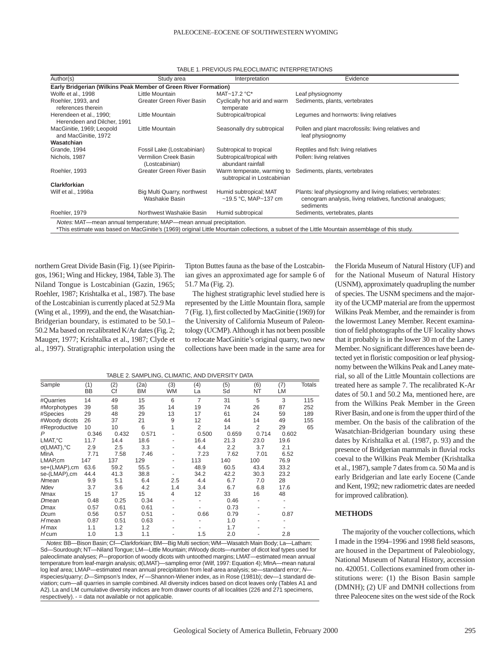| Author(s)                                                          | Study area                                    | Interpretation                                            | Evidence                                                                                                                               |
|--------------------------------------------------------------------|-----------------------------------------------|-----------------------------------------------------------|----------------------------------------------------------------------------------------------------------------------------------------|
| Early Bridgerian (Wilkins Peak Member of Green River Formation)    |                                               |                                                           |                                                                                                                                        |
| Wolfe et al., 1998                                                 | Little Mountain                               | MAT~17.2 °C*                                              | Leaf physiognomy                                                                                                                       |
| Roehler, 1993, and<br>references therein                           | Greater Green River Basin                     | Cyclically hot arid and warm<br>temperate                 | Sediments, plants, vertebrates                                                                                                         |
| Herendeen et al., 1990;<br>Herendeen and Dilcher, 1991             | Little Mountain                               | Subtropical/tropical                                      | Legumes and hornworts: living relatives                                                                                                |
| MacGinitie, 1969; Leopold<br>and MacGinitie, 1972                  | Little Mountain                               | Seasonally dry subtropical                                | Pollen and plant macrofossils: living relatives and<br>leaf physiognomy                                                                |
| Wasatchian                                                         |                                               |                                                           |                                                                                                                                        |
| Grande, 1994                                                       | Fossil Lake (Lostcabinian)                    | Subtropical to tropical                                   | Reptiles and fish: living relatives                                                                                                    |
| Nichols, 1987                                                      | Vermilion Creek Basin<br>(Lostcabinian)       | Subtropical/tropical with<br>abundant rainfall            | Pollen: living relatives                                                                                                               |
| Roehler, 1993                                                      | Greater Green River Basin                     | Warm temperate, warming to<br>subtropical in Lostcabinian | Sediments, plants, vertebrates                                                                                                         |
| Clarkforkian                                                       |                                               |                                                           |                                                                                                                                        |
| Wilf et al., 1998a                                                 | Big Multi Quarry, northwest<br>Washakie Basin | Humid subtropical; MAT<br>$~19.5$ °C, MAP $~137$ cm       | Plants: leaf physiognomy and living relatives; vertebrates:<br>cenogram analysis, living relatives, functional analogues;<br>sediments |
| Roehler, 1979                                                      | Northwest Washakie Basin                      | Humid subtropical                                         | Sediments, vertebrates, plants                                                                                                         |
| Notes: MAT-mean annual temperature; MAP-mean annual precipitation. |                                               |                                                           |                                                                                                                                        |

\*This estimate was based on MacGinitie's (1969) original Little Mountain collections, a subset of the Little Mountain assemblage of this study.

northern Great Divide Basin (Fig. 1) (see Pipiringos, 1961; Wing and Hickey, 1984, Table 3). The Niland Tongue is Lostcabinian (Gazin, 1965; Roehler, 1987; Krishtalka et al., 1987). The base of the Lostcabinian is currently placed at 52.9 Ma (Wing et al., 1999), and the end, the Wasatchian-Bridgerian boundary, is estimated to be 50.1– 50.2 Ma based on recalibrated K/Ar dates (Fig. 2; Mauger, 1977; Krishtalka et al., 1987; Clyde et al., 1997). Stratigraphic interpolation using the Tipton Buttes fauna as the base of the Lostcabinian gives an approximated age for sample 6 of 51.7 Ma (Fig. 2).

The highest stratigraphic level studied here is represented by the Little Mountain flora, sample 7 (Fig. 1), first collected by MacGinitie (1969) for the University of California Museum of Paleontology (UCMP). Although it has not been possible to relocate MacGinitie's original quarry, two new collections have been made in the same area for

TABLE 2. SAMPLING, CLIMATIC, AND DIVERSITY DATA

| Sample              | (1)   | (2)   | (2a)      | (3)            | (4)            | (5)   | (6)   | (7)   | <b>Totals</b> |
|---------------------|-------|-------|-----------|----------------|----------------|-------|-------|-------|---------------|
|                     | BB    | Сf    | <b>BM</b> | <b>WM</b>      | La             | Sd    | NT    | LM    |               |
| #Quarries           | 14    | 49    | 15        | 6              | $\overline{7}$ | 31    | 5     | 3     | 115           |
| #Morphotypes        | 39    | 58    | 35        | 14             | 19             | 74    | 26    | 87    | 252           |
| #Species            | 29    | 48    | 29        | 13             | 17             | 61    | 24    | 59    | 189           |
| #Woody dicots       | 26    | 37    | 21        | 9              | 12             | 44    | 14    | 49    | 155           |
| #Reproductive       | 10    | 10    | 6         | 1              | $\overline{2}$ | 14    | 2     | 29    | 65            |
| P                   | 0.346 | 0.432 | 0.571     |                | 0.500          | 0.659 | 0.714 | 0.602 |               |
| LMAT, °C            | 11.7  | 14.4  | 18.6      | ۰              | 16.4           | 21.3  | 23.0  | 19.6  |               |
| $\sigma$ (LMAT), °C | 2.9   | 2.5   | 3.3       |                | 4.4            | 2.2   | 3.7   | 2.1   |               |
| <b>MInA</b>         | 7.71  | 7.58  | 7.46      |                | 7.23           | 7.62  | 7.01  | 6.52  |               |
| LMAP,cm             | 147   | 137   | 129       | ۰              | 113            | 140   | 100   | 76.9  |               |
| se+(LMAP),cm        | 63.6  | 59.2  | 55.5      | ٠              | 48.9           | 60.5  | 43.4  | 33.2  |               |
| se-(LMAP), cm       | 44.4  | 41.3  | 38.8      |                | 34.2           | 42.2  | 30.3  | 23.2  |               |
| <b>Nmean</b>        | 9.9   | 5.1   | 6.4       | 2.5            | 4.4            | 6.7   | 7.0   | 28    |               |
| Ndev                | 3.7   | 3.6   | 4.2       | 1.4            | 3.4            | 6.7   | 6.8   | 17.6  |               |
| <b>Nmax</b>         | 15    | 17    | 15        | $\overline{4}$ | 12             | 33    | 16    | 48    |               |
| Dmean               | 0.48  | 0.25  | 0.34      | ۰              |                | 0.46  | ٠     | ۰     |               |
| Dmax                | 0.57  | 0.61  | 0.61      | ۰              |                | 0.73  | ٠     |       |               |
| Dcum                | 0.56  | 0.57  | 0.51      |                | 0.66           | 0.79  | -     | 0.87  |               |
| <i>H</i> 'mean      | 0.87  | 0.51  | 0.63      |                |                | 1.0   |       |       |               |
| H'max               | 1.1   | 1.2   | 1.2       |                |                | 1.7   |       |       |               |
| $H$ cum             | 1.0   | 1.3   | 1.1       |                | 1.5            | 2.0   |       | 2.8   |               |

Notes: BB—Bison Basin; Cf—Clarkforkian; BM—Big Multi section; WM—Wasatch Main Body; La—Latham; Sd—Sourdough; NT—Niland Tongue; LM—Little Mountain; #Woody dicots—number of dicot leaf types used for paleoclimate analyses; P—proportion of woody dicots with untoothed margins; LMAT—estimated mean annual temperature from leaf-margin analysis; σ(LMAT)—sampling error (Wilf, 1997: Equation 4); MlnA—mean natural log leaf area; LMAP—estimated mean annual precipitation from leaf-area analysis; se—standard error; N-#species/quarry; <sup>D</sup>—Simpson's Index, H′—Shannon-Wiener index, as in Rose (1981b); dev—1 standard deviation; cum—all quarries in sample combined. All diversity indices based on dicot leaves only (Tables A1 and A2). La and LM cumulative diversity indices are from drawer counts of all localities (226 and 271 specimens, respectively). - = data not available or not applicable.

the Florida Museum of Natural History (UF) and for the National Museum of Natural History (USNM), approximately quadrupling the number of species. The USNM specimens and the majority of the UCMP material are from the uppermost Wilkins Peak Member, and the remainder is from the lowermost Laney Member. Recent examination of field photographs of the UF locality shows that it probably is in the lower 30 m of the Laney Member. No significant differences have been detected yet in floristic composition or leaf physiognomy between the Wilkins Peak and Laney material, so all of the Little Mountain collections are treated here as sample 7. The recalibrated K-Ar dates of 50.1 and 50.2 Ma, mentioned here, are from the Wilkins Peak Member in the Green River Basin, and one is from the upper third of the member. On the basis of the calibration of the Wasatchian-Bridgerian boundary using these dates by Krishtalka et al. (1987, p. 93) and the presence of Bridgerian mammals in fluvial rocks coeval to the Wilkins Peak Member (Krishtalka et al., 1987), sample 7 dates from ca. 50 Ma and is early Bridgerian and late early Eocene (Cande and Kent, 1992; new radiometric dates are needed for improved calibration).

## **METHODS**

The majority of the voucher collections, which I made in the 1994–1996 and 1998 field seasons, are housed in the Department of Paleobiology, National Museum of Natural History, accession no. 420051. Collections examined from other institutions were: (1) the Bison Basin sample (DMNH); (2) UF and DMNH collections from three Paleocene sites on the west side of the Rock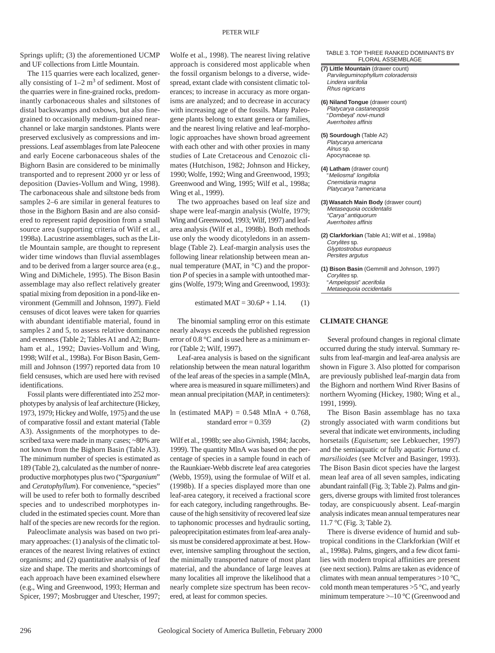Springs uplift; (3) the aforementioned UCMP and UF collections from Little Mountain.

The 115 quarries were each localized, generally consisting of  $1-2$  m<sup>3</sup> of sediment. Most of the quarries were in fine-grained rocks, predominantly carbonaceous shales and siltstones of distal backswamps and oxbows, but also finegrained to occasionally medium-grained nearchannel or lake margin sandstones. Plants were preserved exclusively as compressions and impressions. Leaf assemblages from late Paleocene and early Eocene carbonaceous shales of the Bighorn Basin are considered to be minimally transported and to represent 2000 yr or less of deposition (Davies-Vollum and Wing, 1998). The carbonaceous shale and siltstone beds from samples 2–6 are similar in general features to those in the Bighorn Basin and are also considered to represent rapid deposition from a small source area (supporting criteria of Wilf et al., 1998a). Lacustrine assemblages, such as the Little Mountain sample, are thought to represent wider time windows than fluvial assemblages and to be derived from a larger source area (e.g., Wing and DiMichele, 1995). The Bison Basin assemblage may also reflect relatively greater spatial mixing from deposition in a pond-like environment (Gemmill and Johnson, 1997). Field censuses of dicot leaves were taken for quarries with abundant identifiable material, found in samples 2 and 5, to assess relative dominance and evenness (Table 2; Tables A1 and A2; Burnham et al., 1992; Davies-Vollum and Wing, 1998; Wilf et al., 1998a). For Bison Basin, Gemmill and Johnson (1997) reported data from 10 field censuses, which are used here with revised identifications.

Fossil plants were differentiated into 252 morphotypes by analysis of leaf architecture (Hickey, 1973, 1979; Hickey and Wolfe, 1975) and the use of comparative fossil and extant material (Table A3). Assignments of the morphotypes to described taxa were made in many cases; ~80% are not known from the Bighorn Basin (Table A3). The minimum number of species is estimated as 189 (Table 2), calculated as the number of nonreproductive morphotypes plus two ("*Sparganium*" and *Ceratophyllum*). For convenience, "species" will be used to refer both to formally described species and to undescribed morphotypes included in the estimated species count. More than half of the species are new records for the region.

Paleoclimate analysis was based on two primary approaches: (1) analysis of the climatic tolerances of the nearest living relatives of extinct organisms; and (2) quantitative analysis of leaf size and shape. The merits and shortcomings of each approach have been examined elsewhere (e.g., Wing and Greenwood, 1993; Herman and Spicer, 1997; Mosbrugger and Utescher, 1997;

Wolfe et al., 1998). The nearest living relative approach is considered most applicable when the fossil organism belongs to a diverse, widespread, extant clade with consistent climatic tolerances; to increase in accuracy as more organisms are analyzed; and to decrease in accuracy with increasing age of the fossils. Many Paleogene plants belong to extant genera or families, and the nearest living relative and leaf-morphologic approaches have shown broad agreement with each other and with other proxies in many studies of Late Cretaceous and Cenozoic climates (Hutchison, 1982; Johnson and Hickey, 1990; Wolfe, 1992; Wing and Greenwood, 1993; Greenwood and Wing, 1995; Wilf et al., 1998a; Wing et al., 1999).

The two approaches based on leaf size and shape were leaf-margin analysis (Wolfe, 1979; Wing and Greenwood, 1993; Wilf, 1997) and leafarea analysis (Wilf et al., 1998b). Both methods use only the woody dicotyledons in an assemblage (Table 2). Leaf-margin analysis uses the following linear relationship between mean annual temperature (MAT, in °C) and the proportion *P* of species in a sample with untoothed margins (Wolfe, 1979; Wing and Greenwood, 1993):

estimated MAT =  $30.6P + 1.14$ . (1)

The binomial sampling error on this estimate nearly always exceeds the published regression error of 0.8 °C and is used here as a minimum error (Table 2; Wilf, 1997).

Leaf-area analysis is based on the significant relationship between the mean natural logarithm of the leaf areas of the species in a sample (MlnA, where area is measured in square millimeters) and mean annual precipitation (MAP, in centimeters):

ln (estimated MAP) =  $0.548$  MlnA +  $0.768$ , standard error  $= 0.359$  (2)

Wilf et al., 1998b; see also Givnish, 1984; Jacobs, 1999). The quantity MlnA was based on the percentage of species in a sample found in each of the Raunkiaer-Webb discrete leaf area categories (Webb, 1959), using the formulae of Wilf et al. (1998b). If a species displayed more than one leaf-area category, it received a fractional score for each category, including rangethroughs. Because of the high sensitivity of recovered leaf size to taphonomic processes and hydraulic sorting, paleoprecipitation estimates from leaf-area analysis must be considered approximate at best. However, intensive sampling throughout the section, the minimally transported nature of most plant material, and the abundance of large leaves at many localities all improve the likelihood that a nearly complete size spectrum has been recovered, at least for common species.

```
TABLE 3. TOP THREE RANKED DOMINANTS BY
         FLORAL ASSEMBLAGE
```
**(7) Little Mountain** (drawer count) Parvileguminophyllum coloradensis Lindera varifolia Rhus nigricans

**(6) Niland Tongue** (drawer count) Platycarya castaneopsis "Dombeya" novi-mundi Averrhoites affinis

**(5) Sourdough** (Table A2) Platycarya americana Alnus sp. Apocynaceae sp.

**(4) Latham** (drawer count) "Meliosma" longifolia Cnemidaria magna Platycarya ?americana

**(3) Wasatch Main Body** (drawer count) Metasequoia occidentalis "Carya" antiquorum Averrhoites affinis

**(2) Clarkforkian** (Table A1; Wilf et al., 1998a) Corylites sp. Glyptostrobus europaeus Persites argutus

**(1) Bison Basin** (Gemmill and Johnson, 1997) Corylites sp. "Ampelopsis" acerifolia Metasequoia occidentalis

# **CLIMATE CHANGE**

Several profound changes in regional climate occurred during the study interval. Summary results from leaf-margin and leaf-area analysis are shown in Figure 3. Also plotted for comparison are previously published leaf-margin data from the Bighorn and northern Wind River Basins of northern Wyoming (Hickey, 1980; Wing et al., 1991, 1999).

The Bison Basin assemblage has no taxa strongly associated with warm conditions but several that indicate wet environments, including horsetails (*Equisetum*; see Lebkuecher, 1997) and the semiaquatic or fully aquatic *Fortuna* cf. *marsilioides* (see McIver and Basinger, 1993). The Bison Basin dicot species have the largest mean leaf area of all seven samples, indicating abundant rainfall (Fig. 3; Table 2). Palms and gingers, diverse groups with limited frost tolerances today, are conspicuously absent. Leaf-margin analysis indicates mean annual temperatures near 11.7 °C (Fig. 3; Table 2).

There is diverse evidence of humid and subtropical conditions in the Clarkforkian (Wilf et al., 1998a). Palms, gingers, and a few dicot families with modern tropical affinities are present (see next section). Palms are taken as evidence of climates with mean annual temperatures >10 °C, cold month mean temperatures >5 °C, and yearly minimum temperature >–10 °C (Greenwood and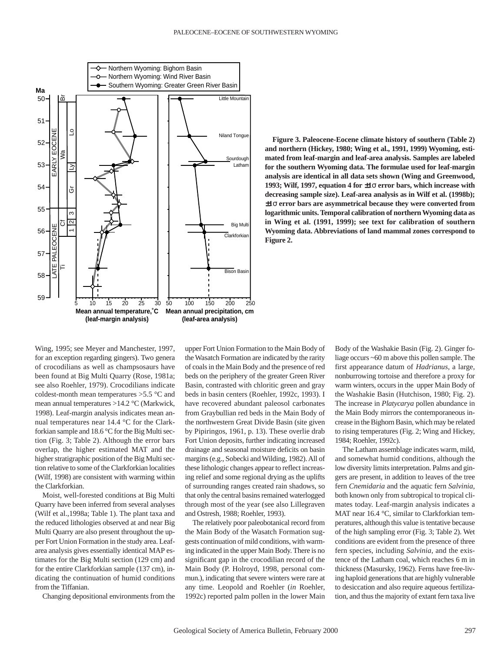

**Figure 3. Paleocene-Eocene climate history of southern (Table 2) and northern (Hickey, 1980; Wing et al., 1991, 1999) Wyoming, estimated from leaf-margin and leaf-area analysis. Samples are labeled for the southern Wyoming data. The formulae used for leaf-margin analysis are identical in all data sets shown (Wing and Greenwood, 1993; Wilf, 1997, equation 4 for** ±**1**σ **error bars, which increase with decreasing sample size). Leaf-area analysis as in Wilf et al. (1998b);** ±**1**σ **error bars are asymmetrical because they were converted from logarithmic units. Temporal calibration of northern Wyoming data as in Wing et al. (1991, 1999); see text for calibration of southern Wyoming data. Abbreviations of land mammal zones correspond to Figure 2.**

Wing, 1995; see Meyer and Manchester, 1997, for an exception regarding gingers). Two genera of crocodilians as well as champsosaurs have been found at Big Multi Quarry (Rose, 1981a; see also Roehler, 1979). Crocodilians indicate coldest-month mean temperatures >5.5 °C and mean annual temperatures >14.2 °C (Markwick, 1998). Leaf-margin analysis indicates mean annual temperatures near 14.4 °C for the Clarkforkian sample and 18.6 °C for the Big Multi section (Fig. 3; Table 2). Although the error bars overlap, the higher estimated MAT and the higher stratigraphic position of the Big Multi section relative to some of the Clarkforkian localities (Wilf, 1998) are consistent with warming within the Clarkforkian.

Moist, well-forested conditions at Big Multi Quarry have been inferred from several analyses (Wilf et al.,1998a; Table 1). The plant taxa and the reduced lithologies observed at and near Big Multi Quarry are also present throughout the upper Fort Union Formation in the study area. Leafarea analysis gives essentially identical MAP estimates for the Big Multi section (129 cm) and for the entire Clarkforkian sample (137 cm), indicating the continuation of humid conditions from the Tiffanian.

Changing depositional environments from the

upper Fort Union Formation to the Main Body of the Wasatch Formation are indicated by the rarity of coals in the Main Body and the presence of red beds on the periphery of the greater Green River Basin, contrasted with chloritic green and gray beds in basin centers (Roehler, 1992c, 1993). I have recovered abundant paleosol carbonates from Graybullian red beds in the Main Body of the northwestern Great Divide Basin (site given by Pipiringos, 1961, p. 13). These overlie drab Fort Union deposits, further indicating increased drainage and seasonal moisture deficits on basin margins (e.g., Sobecki and Wilding, 1982). All of these lithologic changes appear to reflect increasing relief and some regional drying as the uplifts of surrounding ranges created rain shadows, so that only the central basins remained waterlogged through most of the year (see also Lillegraven and Ostresh, 1988; Roehler, 1993).

The relatively poor paleobotanical record from the Main Body of the Wasatch Formation suggests continuation of mild conditions, with warming indicated in the upper Main Body. There is no significant gap in the crocodilian record of the Main Body (P. Holroyd, 1998, personal commun.), indicating that severe winters were rare at any time. Leopold and Roehler (*in* Roehler, 1992c) reported palm pollen in the lower Main Body of the Washakie Basin (Fig. 2). Ginger foliage occurs ~60 m above this pollen sample. The first appearance datum of *Hadrianus*, a large, nonburrowing tortoise and therefore a proxy for warm winters, occurs in the upper Main Body of the Washakie Basin (Hutchison, 1980; Fig. 2). The increase in *Platycarya* pollen abundance in the Main Body mirrors the contemporaneous increase in the Bighorn Basin, which may be related to rising temperatures (Fig. 2; Wing and Hickey, 1984; Roehler, 1992c).

The Latham assemblage indicates warm, mild, and somewhat humid conditions, although the low diversity limits interpretation. Palms and gingers are present, in addition to leaves of the tree fern *Cnemidaria* and the aquatic fern *Salvinia*, both known only from subtropical to tropical climates today. Leaf-margin analysis indicates a MAT near 16.4 °C, similar to Clarkforkian temperatures, although this value is tentative because of the high sampling error (Fig. 3; Table 2). Wet conditions are evident from the presence of three fern species, including *Salvinia*, and the existence of the Latham coal, which reaches 6 m in thickness (Masursky, 1962). Ferns have free-living haploid generations that are highly vulnerable to desiccation and also require aqueous fertilization, and thus the majority of extant fern taxa live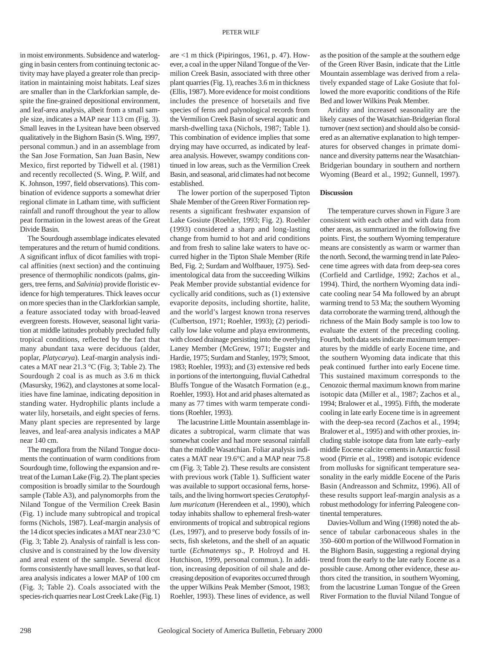in moist environments. Subsidence and waterlogging in basin centers from continuing tectonic activity may have played a greater role than precipitation in maintaining moist habitats. Leaf sizes are smaller than in the Clarkforkian sample, despite the fine-grained depositional environment, and leaf-area analysis, albeit from a small sample size, indicates a MAP near 113 cm (Fig. 3). Small leaves in the Lysitean have been observed qualitatively in the Bighorn Basin (S. Wing, 1997, personal commun.) and in an assemblage from the San Jose Formation, San Juan Basin, New Mexico, first reported by Tidwell et al. (1981) and recently recollected (S. Wing, P. Wilf, and K. Johnson, 1997, field observations). This combination of evidence supports a somewhat drier regional climate in Latham time, with sufficient rainfall and runoff throughout the year to allow peat formation in the lowest areas of the Great Divide Basin.

The Sourdough assemblage indicates elevated temperatures and the return of humid conditions. A significant influx of dicot families with tropical affinities (next section) and the continuing presence of thermophilic nondicots (palms, gingers, tree ferns, and *Salvinia*) provide floristic evidence for high temperatures. Thick leaves occur on more species than in the Clarkforkian sample, a feature associated today with broad-leaved evergreen forests. However, seasonal light variation at middle latitudes probably precluded fully tropical conditions, reflected by the fact that many abundant taxa were deciduous (alder, poplar, *Platycarya*). Leaf-margin analysis indicates a MAT near 21.3 °C (Fig. 3; Table 2). The Sourdough 2 coal is as much as 3.6 m thick (Masursky, 1962), and claystones at some localities have fine laminae, indicating deposition in standing water. Hydrophilic plants include a water lily, horsetails, and eight species of ferns. Many plant species are represented by large leaves, and leaf-area analysis indicates a MAP near 140 cm.

The megaflora from the Niland Tongue documents the continuation of warm conditions from Sourdough time, following the expansion and retreat of the Luman Lake (Fig. 2). The plant species composition is broadly similar to the Sourdough sample (Table A3), and palynomorphs from the Niland Tongue of the Vermilion Creek Basin (Fig. 1) include many subtropical and tropical forms (Nichols, 1987). Leaf-margin analysis of the 14 dicot species indicates a MAT near 23.0 °C (Fig. 3; Table 2). Analysis of rainfall is less conclusive and is constrained by the low diversity and areal extent of the sample. Several dicot forms consistently have small leaves, so that leafarea analysis indicates a lower MAP of 100 cm (Fig. 3; Table 2). Coals associated with the species-rich quarries near Lost Creek Lake (Fig.1)

are <1 m thick (Pipiringos, 1961, p. 47). However, a coal in the upper Niland Tongue of the Vermilion Creek Basin, associated with three other plant quarries (Fig. 1), reaches 3.6 m in thickness (Ellis, 1987). More evidence for moist conditions includes the presence of horsetails and five species of ferns and palynological records from the Vermilion Creek Basin of several aquatic and marsh-dwelling taxa (Nichols, 1987; Table 1). This combination of evidence implies that some drying may have occurred, as indicated by leafarea analysis. However, swampy conditions continued in low areas, such as the Vermilion Creek Basin, and seasonal, arid climates had not become established.

The lower portion of the superposed Tipton Shale Member of the Green River Formation represents a significant freshwater expansion of Lake Gosiute (Roehler, 1993; Fig. 2). Roehler (1993) considered a sharp and long-lasting change from humid to hot and arid conditions and from fresh to saline lake waters to have occurred higher in the Tipton Shale Member (Rife Bed, Fig. 2; Surdam and Wolfbauer, 1975). Sedimentological data from the succeeding Wilkins Peak Member provide substantial evidence for cyclically arid conditions, such as (1) extensive evaporite deposits, including shortite, halite, and the world's largest known trona reserves (Culbertson, 1971; Roehler, 1993); (2) periodically low lake volume and playa environments, with closed drainage persisting into the overlying Laney Member (McGrew, 1971; Eugster and Hardie, 1975; Surdam and Stanley, 1979; Smoot, 1983; Roehler, 1993); and (3) extensive red beds in portions of the intertonguing, fluvial Cathedral Bluffs Tongue of the Wasatch Formation (e.g., Roehler, 1993). Hot and arid phases alternated as many as 77 times with warm temperate conditions (Roehler, 1993).

The lacustrine Little Mountain assemblage indicates a subtropical, warm climate that was somewhat cooler and had more seasonal rainfall than the middle Wasatchian. Foliar analysis indicates a MAT near 19.6°C and a MAP near 75.8 cm (Fig. 3; Table 2). These results are consistent with previous work (Table 1). Sufficient water was available to support occasional ferns, horsetails, and the living hornwort species *Ceratophyllum muricatum* (Herendeen et al., 1990), which today inhabits shallow to ephemeral fresh-water environments of tropical and subtropical regions (Les, 1997), and to preserve body fossils of insects, fish skeletons, and the shell of an aquatic turtle (*Echmatemys* sp., P. Holroyd and H. Hutchison, 1999, personal commun.). In addition, increasing deposition of oil shale and decreasing deposition of evaporites occurred through the upper Wilkins Peak Member (Smoot, 1983; Roehler, 1993). These lines of evidence, as well as the position of the sample at the southern edge of the Green River Basin, indicate that the Little Mountain assemblage was derived from a relatively expanded stage of Lake Gosiute that followed the more evaporitic conditions of the Rife Bed and lower Wilkins Peak Member.

Aridity and increased seasonality are the likely causes of the Wasatchian-Bridgerian floral turnover (next section) and should also be considered as an alternative explanation to high temperatures for observed changes in primate dominance and diversity patterns near the Wasatchian-Bridgerian boundary in southern and northern Wyoming (Beard et al., 1992; Gunnell, 1997).

## **Discussion**

The temperature curves shown in Figure 3 are consistent with each other and with data from other areas, as summarized in the following five points. First, the southern Wyoming temperature means are consistently as warm or warmer than the north. Second, the warming trend in late Paleocene time agrees with data from deep-sea cores (Corfield and Cartlidge, 1992; Zachos et al., 1994). Third, the northern Wyoming data indicate cooling near 54 Ma followed by an abrupt warming trend to 53 Ma; the southern Wyoming data corroborate the warming trend, although the richness of the Main Body sample is too low to evaluate the extent of the preceding cooling. Fourth, both data sets indicate maximum temperatures by the middle of early Eocene time, and the southern Wyoming data indicate that this peak continued further into early Eocene time. This sustained maximum corresponds to the Cenozoic thermal maximum known from marine isotopic data (Miller et al., 1987; Zachos et al., 1994; Bralower et al., 1995). Fifth, the moderate cooling in late early Eocene time is in agreement with the deep-sea record (Zachos et al., 1994; Bralower et al., 1995) and with other proxies, including stable isotope data from late early–early middle Eocene calcite cements in Antarctic fossil wood (Pirrie et al., 1998) and isotopic evidence from mollusks for significant temperature seasonality in the early middle Eocene of the Paris Basin (Andreasson and Schmitz, 1996). All of these results support leaf-margin analysis as a robust methodology for inferring Paleogene continental temperatures.

Davies-Vollum and Wing (1998) noted the absence of tabular carbonaceous shales in the 350–600 m portion of the Willwood Formation in the Bighorn Basin, suggesting a regional drying trend from the early to the late early Eocene as a possible cause. Among other evidence, these authors cited the transition, in southern Wyoming, from the lacustrine Luman Tongue of the Green River Formation to the fluvial Niland Tongue of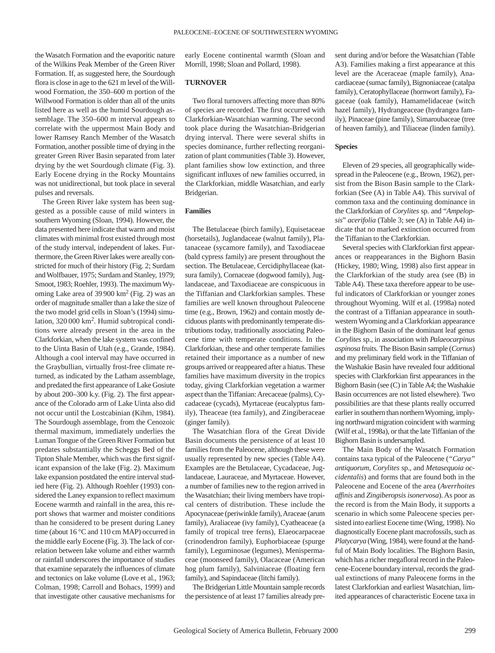the Wasatch Formation and the evaporitic nature of the Wilkins Peak Member of the Green River Formation. If, as suggested here, the Sourdough flora is close in age to the 621 m level of the Willwood Formation, the 350–600 m portion of the Willwood Formation is older than all of the units listed here as well as the humid Sourdough assemblage. The 350–600 m interval appears to correlate with the uppermost Main Body and lower Ramsey Ranch Member of the Wasatch Formation, another possible time of drying in the greater Green River Basin separated from later drying by the wet Sourdough climate (Fig. 3). Early Eocene drying in the Rocky Mountains was not unidirectional, but took place in several pulses and reversals.

The Green River lake system has been suggested as a possible cause of mild winters in southern Wyoming (Sloan, 1994). However, the data presented here indicate that warm and moist climates with minimal frost existed through most of the study interval, independent of lakes. Furthermore, the Green River lakes were areally constricted for much of their history (Fig. 2; Surdam and Wolfbauer, 1975; Surdam and Stanley, 1979; Smoot,1983; Roehler, 1993). The maximum Wyoming Lake area of 39 900 km2 (Fig. 2) was an order of magnitude smaller than a lake the size of the two model grid cells in Sloan's (1994) simulation, 320 000 km2. Humid subtropical conditions were already present in the area in the Clarkforkian, when the lake system was confined to the Uinta Basin of Utah (e.g., Grande, 1984). Although a cool interval may have occurred in the Graybullian, virtually frost-free climate returned, as indicated by the Latham assemblage, and predated the first appearance of Lake Gosiute by about 200–300 k.y. (Fig. 2). The first appearance of the Colorado arm of Lake Uinta also did not occur until the Lostcabinian (Kihm, 1984). The Sourdough assemblage, from the Cenozoic thermal maximum, immediately underlies the Luman Tongue of the Green River Formation but predates substantially the Scheggs Bed of the Tipton Shale Member, which was the first significant expansion of the lake (Fig. 2). Maximum lake expansion postdated the entire interval studied here (Fig. 2). Although Roehler (1993) considered the Laney expansion to reflect maximum Eocene warmth and rainfall in the area, this report shows that warmer and moister conditions than he considered to be present during Laney time (about 16 °C and 110 cm MAP) occurred in the middle early Eocene (Fig. 3). The lack of correlation between lake volume and either warmth or rainfall underscores the importance of studies that examine separately the influences of climate and tectonics on lake volume (Love et al., 1963; Colman, 1998; Carroll and Bohacs, 1999) and that investigate other causative mechanisms for

early Eocene continental warmth (Sloan and Morrill, 1998; Sloan and Pollard, 1998).

### **TURNOVER**

Two floral turnovers affecting more than 80% of species are recorded. The first occurred with Clarkforkian-Wasatchian warming. The second took place during the Wasatchian-Bridgerian drying interval. There were several shifts in species dominance, further reflecting reorganization of plant communities (Table 3). However, plant families show low extinction, and three significant influxes of new families occurred, in the Clarkforkian, middle Wasatchian, and early Bridgerian.

### **Families**

The Betulaceae (birch family), Equisetaceae (horsetails), Juglandaceae (walnut family), Platanaceae (sycamore family), and Taxodiaceae (bald cypress family) are present throughout the section. The Betulaceae, Cercidiphyllaceae (katsura family), Cornaceae (dogwood family), Juglandaceae, and Taxodiaceae are conspicuous in the Tiffanian and Clarkforkian samples. These families are well known throughout Paleocene time (e.g., Brown, 1962) and contain mostly deciduous plants with predominantly temperate distributions today, traditionally associating Paleocene time with temperate conditions. In the Clarkforkian, these and other temperate families retained their importance as a number of new groups arrived or reappeared after a hiatus. These families have maximum diversity in the tropics today, giving Clarkforkian vegetation a warmer aspect than the Tiffanian: Arecaceae (palms), Cycadaceae (cycads), Myrtaceae (eucalyptus family), Theaceae (tea family), and Zingiberaceae (ginger family).

The Wasatchian flora of the Great Divide Basin documents the persistence of at least 10 families from the Paleocene, although these were usually represented by new species (Table A4). Examples are the Betulaceae, Cycadaceae, Juglandaceae, Lauraceae, and Myrtaceae. However, a number of families new to the region arrived in the Wasatchian; their living members have tropical centers of distribution. These include the Apocynaceae (periwinkle family), Araceae (arum family), Araliaceae (ivy family), Cyatheaceae (a family of tropical tree ferns), Elaeocarpaceae (crinodendron family), Euphorbiaceae (spurge family), Leguminosae (legumes), Menispermaceae (moonseed family), Olacaceae (American hog plum family), Salviniaceae (floating fern family), and Sapindaceae (litchi family).

The Bridgerian Little Mountain sample records the persistence of at least 17 families already present during and/or before the Wasatchian (Table A3). Families making a first appearance at this level are the Aceraceae (maple family), Anacardiaceae (sumac family), Bignoniaceae (catalpa family), Ceratophyllaceae (hornwort family), Fagaceae (oak family), Hamamelidaceae (witch hazel family), Hydrangeaceae (hydrangea family), Pinaceae (pine family), Simaroubaceae (tree of heaven family), and Tiliaceae (linden family).

### **Species**

Eleven of 29 species, all geographically widespread in the Paleocene (e.g., Brown, 1962), persist from the Bison Basin sample to the Clarkforkian (See (A) in Table A4). This survival of common taxa and the continuing dominance in the Clarkforkian of *Corylites* sp. and "*Ampelopsis*" *acerifolia* (Table 3; see (A) in Table A4) indicate that no marked extinction occurred from the Tiffanian to the Clarkforkian.

Several species with Clarkforkian first appearances or reappearances in the Bighorn Basin (Hickey, 1980; Wing, 1998) also first appear in the Clarkforkian of the study area (see (B) in Table A4). These taxa therefore appear to be useful indicators of Clarkforkian or younger zones throughout Wyoming. Wilf et al. (1998a) noted the contrast of a Tiffanian appearance in southwestern Wyoming and a Clarkforkian appearance in the Bighorn Basin of the dominant leaf genus *Corylites* sp., in association with *Palaeocarpinus aspinosa* fruits*.* The Bison Basin sample (*Cornus*) and my preliminary field work in the Tiffanian of the Washakie Basin have revealed four additional species with Clarkforkian first appearances in the Bighorn Basin (see (C) in Table A4; the Washakie Basin occurrences are not listed elsewhere). Two possibilities are that these plants really occurred earlier in southern than northern Wyoming, implying northward migration coincident with warming (Wilf et al., 1998a), or that the late Tiffanian of the Bighorn Basin is undersampled.

The Main Body of the Wasatch Formation contains taxa typical of the Paleocene (*"Carya" antiquorum*, *Corylites* sp., and *Metasequoia occidentalis*) and forms that are found both in the Paleocene and Eocene of the area (*Averrhoites affinis* and *Zingiberopsis isonervosa*). As poor as the record is from the Main Body, it supports a scenario in which some Paleocene species persisted into earliest Eocene time (Wing, 1998). No diagnostically Eocene plant macrofossils, such as *Platycarya* (Wing, 1984), were found at the handful of Main Body localities. The Bighorn Basin, which has a richer megafloral record in the Paleocene-Eocene boundary interval, records the gradual extinctions of many Paleocene forms in the latest Clarkforkian and earliest Wasatchian, limited appearances of characteristic Eocene taxa in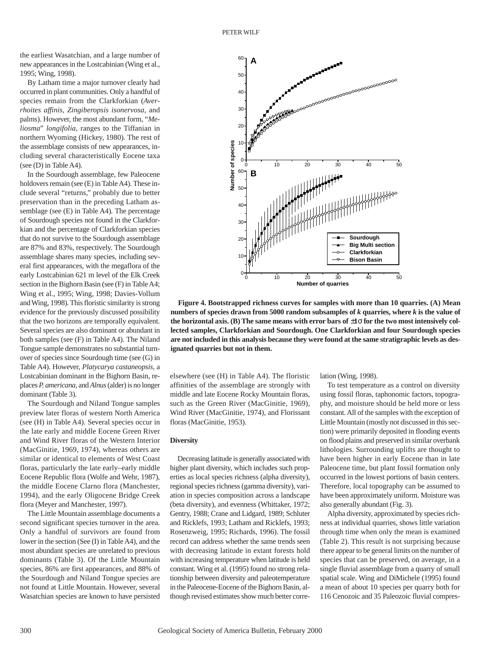the earliest Wasatchian, and a large number of new appearances in the Lostcabinian (Wing et al., 1995; Wing, 1998).

By Latham time a major turnover clearly had occurred in plant communities. Only a handful of species remain from the Clarkforkian (*Averrhoites affinis*, *Zingiberopsis isonervosa*, and palms). However, the most abundant form, "*Meliosma*" *longifolia*, ranges to the Tiffanian in northern Wyoming (Hickey, 1980)*.* The rest of the assemblage consists of new appearances, including several characteristically Eocene taxa (see (D) in Table A4).

In the Sourdough assemblage, few Paleocene holdovers remain (see (E) in Table A4). These include several "returns," probably due to better preservation than in the preceding Latham assemblage (see (E) in Table A4)*.* The percentage of Sourdough species not found in the Clarkforkian and the percentage of Clarkforkian species that do not survive to the Sourdough assemblage are 87% and 83%, respectively. The Sourdough assemblage shares many species, including several first appearances, with the megaflora of the early Lostcabinian 621 m level of the Elk Creek section in the Bighorn Basin (see (F) in Table A4; Wing et al., 1995; Wing, 1998; Davies-Vollum and Wing, 1998). This floristic similarity is strong evidence for the previously discussed possibility that the two horizons are temporally equivalent. Several species are also dominant or abundant in both samples (see (F) in Table A4). The Niland Tongue sample demonstrates no substantial turnover of species since Sourdough time (see (G) in Table A4). However, *Platycarya castaneopsis*, a Lostcabinian dominant in the Bighorn Basin, replaces *P. americana*, and *Alnus* (alder) is no longer dominant (Table 3).

The Sourdough and Niland Tongue samples preview later floras of western North America (see (H) in Table A4). Several species occur in the late early and middle Eocene Green River and Wind River floras of the Western Interior (MacGinitie, 1969, 1974), whereas others are similar or identical to elements of West Coast floras, particularly the late early–early middle Eocene Republic flora (Wolfe and Wehr, 1987), the middle Eocene Clarno flora (Manchester, 1994), and the early Oligocene Bridge Creek flora (Meyer and Manchester, 1997).

The Little Mountain assemblage documents a second significant species turnover in the area. Only a handful of survivors are found from lower in the section (See (I) in Table A4), and the most abundant species are unrelated to previous dominants (Table 3). Of the Little Mountain species, 86% are first appearances, and 88% of the Sourdough and Niland Tongue species are not found at Little Mountain. However, several Wasatchian species are known to have persisted



**Figure 4. Bootstrapped richness curves for samples with more than 10 quarries. (A) Mean numbers of species drawn from 5000 random subsamples of** *k* **quarries, where** *k* **is the value of the horizontal axis. (B) The same means with error bars of** ±**1**σ **for the two most intensively collected samples, Clarkforkian and Sourdough. One Clarkforkian and four Sourdough species are not included in this analysis because they were found at the same stratigraphic levels as designated quarries but not in them.**

elsewhere (see (H) in Table A4). The floristic affinities of the assemblage are strongly with middle and late Eocene Rocky Mountain floras, such as the Green River (MacGinitie, 1969), Wind River (MacGinitie, 1974), and Florissant floras (MacGinitie, 1953).

## **Diversity**

Decreasing latitude is generally associated with higher plant diversity, which includes such properties as local species richness (alpha diversity), regional species richness (gamma diversity), variation in species composition across a landscape (beta diversity), and evenness (Whittaker, 1972; Gentry, 1988; Crane and Lidgard, 1989; Schluter and Ricklefs, 1993; Latham and Ricklefs, 1993; Rosenzweig, 1995; Richards, 1996). The fossil record can address whether the same trends seen with decreasing latitude in extant forests hold with increasing temperature when latitude is held constant. Wing et al. (1995) found no strong relationship between diversity and paleotemperature in the Paleocene-Eocene of the Bighorn Basin, although revised estimates show much better correlation (Wing, 1998).

To test temperature as a control on diversity using fossil floras, taphonomic factors, topography, and moisture should be held more or less constant. All of the samples with the exception of Little Mountain (mostly not discussed in this section) were primarily deposited in flooding events on flood plains and preserved in similar overbank lithologies. Surrounding uplifts are thought to have been higher in early Eocene than in late Paleocene time, but plant fossil formation only occurred in the lowest portions of basin centers. Therefore, local topography can be assumed to have been approximately uniform. Moisture was also generally abundant (Fig. 3).

Alpha diversity, approximated by species richness at individual quarries, shows little variation through time when only the mean is examined (Table 2). This result is not surprising because there appear to be general limits on the number of species that can be preserved, on average, in a single fluvial assemblage from a quarry of small spatial scale. Wing and DiMichele (1995) found a mean of about 10 species per quarry both for 116 Cenozoic and 35 Paleozoic fluvial compres-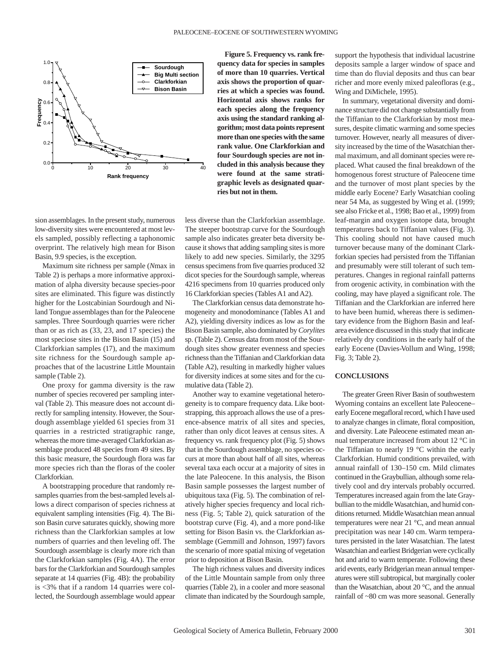

**Figure 5. Frequency vs. rank frequency data for species in samples of more than 10 quarries. Vertical axis shows the proportion of quarries at which a species was found. Horizontal axis shows ranks for each species along the frequency axis using the standard ranking algorithm; most data points represent more than one species with the same rank value. One Clarkforkian and four Sourdough species are not included in this analysis because they were found at the same stratigraphic levels as designated quarries but not in them.**

sion assemblages. In the present study, numerous low-diversity sites were encountered at most levels sampled, possibly reflecting a taphonomic overprint. The relatively high mean for Bison Basin, 9.9 species, is the exception.

Maximum site richness per sample (*N*max in Table 2) is perhaps a more informative approximation of alpha diversity because species-poor sites are eliminated. This figure was distinctly higher for the Lostcabinian Sourdough and Niland Tongue assemblages than for the Paleocene samples. Three Sourdough quarries were richer than or as rich as (33, 23, and 17 species) the most speciose sites in the Bison Basin (15) and Clarkforkian samples (17), and the maximum site richness for the Sourdough sample approaches that of the lacustrine Little Mountain sample (Table 2).

One proxy for gamma diversity is the raw number of species recovered per sampling interval (Table 2). This measure does not account directly for sampling intensity. However, the Sourdough assemblage yielded 61 species from 31 quarries in a restricted stratigraphic range, whereas the more time-averaged Clarkforkian assemblage produced 48 species from 49 sites. By this basic measure, the Sourdough flora was far more species rich than the floras of the cooler Clarkforkian.

A bootstrapping procedure that randomly resamples quarries from the best-sampled levels allows a direct comparison of species richness at equivalent sampling intensities (Fig. 4). The Bison Basin curve saturates quickly, showing more richness than the Clarkforkian samples at low numbers of quarries and then leveling off. The Sourdough assemblage is clearly more rich than the Clarkforkian samples (Fig. 4A). The error bars for the Clarkforkian and Sourdough samples separate at 14 quarries (Fig. 4B): the probability is <3% that if a random 14 quarries were collected, the Sourdough assemblage would appear

less diverse than the Clarkforkian assemblage. The steeper bootstrap curve for the Sourdough sample also indicates greater beta diversity because it shows that adding sampling sites is more likely to add new species. Similarly, the 3295 census specimens from five quarries produced 32 dicot species for the Sourdough sample, whereas 4216 specimens from 10 quarries produced only 16 Clarkforkian species (Tables A1 and A2).

The Clarkforkian census data demonstrate homogeneity and monodominance (Tables A1 and A2), yielding diversity indices as low as for the Bison Basin sample, also dominated by *Corylites* sp. (Table 2). Census data from most of the Sourdough sites show greater evenness and species richness than the Tiffanian and Clarkforkian data (Table A2), resulting in markedly higher values for diversity indices at some sites and for the cumulative data (Table 2).

Another way to examine vegetational heterogeneity is to compare frequency data. Like bootstrapping, this approach allows the use of a presence-absence matrix of all sites and species, rather than only dicot leaves at census sites. A frequency vs. rank frequency plot (Fig. 5) shows that in the Sourdough assemblage, no species occurs at more than about half of all sites, whereas several taxa each occur at a majority of sites in the late Paleocene. In this analysis, the Bison Basin sample possesses the largest number of ubiquitous taxa (Fig. 5). The combination of relatively higher species frequency and local richness (Fig. 5; Table 2), quick saturation of the bootstrap curve (Fig. 4), and a more pond-like setting for Bison Basin vs. the Clarkforkian assemblage (Gemmill and Johnson, 1997) favors the scenario of more spatial mixing of vegetation prior to deposition at Bison Basin.

The high richness values and diversity indices of the Little Mountain sample from only three quarries (Table 2), in a cooler and more seasonal climate than indicated by the Sourdough sample, support the hypothesis that individual lacustrine deposits sample a larger window of space and time than do fluvial deposits and thus can bear richer and more evenly mixed paleofloras (e.g., Wing and DiMichele, 1995).

In summary, vegetational diversity and dominance structure did not change substantially from the Tiffanian to the Clarkforkian by most measures, despite climatic warming and some species turnover. However, nearly all measures of diversity increased by the time of the Wasatchian thermal maximum, and all dominant species were replaced. What caused the final breakdown of the homogenous forest structure of Paleocene time and the turnover of most plant species by the middle early Eocene? Early Wasatchian cooling near 54 Ma, as suggested by Wing et al. (1999; see also Fricke et al., 1998; Bao et al., 1999) from leaf-margin and oxygen isotope data, brought temperatures back to Tiffanian values (Fig. 3). This cooling should not have caused much turnover because many of the dominant Clarkforkian species had persisted from the Tiffanian and presumably were still tolerant of such temperatures. Changes in regional rainfall patterns from orogenic activity, in combination with the cooling, may have played a significant role. The Tiffanian and the Clarkforkian are inferred here to have been humid, whereas there is sedimentary evidence from the Bighorn Basin and leafarea evidence discussed in this study that indicate relatively dry conditions in the early half of the early Eocene (Davies-Vollum and Wing, 1998; Fig. 3; Table 2).

## **CONCLUSIONS**

The greater Green River Basin of southwestern Wyoming contains an excellent late Paleocene– early Eocene megafloral record, which I have used to analyze changes in climate, floral composition, and diversity. Late Paleocene estimated mean annual temperature increased from about 12 °C in the Tiffanian to nearly 19 °C within the early Clarkforkian. Humid conditions prevailed, with annual rainfall of 130–150 cm. Mild climates continued in the Graybullian, although some relatively cool and dry intervals probably occurred. Temperatures increased again from the late Graybullian to the middle Wasatchian, and humid conditions returned. Middle Wasatchian mean annual temperatures were near 21 °C, and mean annual precipitation was near 140 cm. Warm temperatures persisted in the later Wasatchian. The latest Wasatchian and earliest Bridgerian were cyclically hot and arid to warm temperate. Following these arid events, early Bridgerian mean annual temperatures were still subtropical, but marginally cooler than the Wasatchian, about 20 °C, and the annual rainfall of ~80 cm was more seasonal. Generally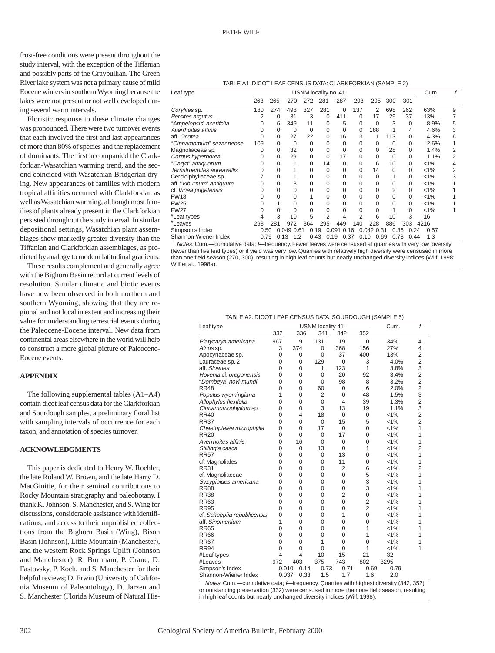frost-free conditions were present throughout the study interval, with the exception of the Tiffanian and possibly parts of the Graybullian. The Green River lake system was not a primary cause of mild Eocene winters in southern Wyoming because the lakes were not present or not well developed during several warm intervals.

Floristic response to these climate changes was pronounced. There were two turnover events that each involved the first and last appearances of more than 80% of species and the replacement of dominants. The first accompanied the Clarkforkian-Wasatchian warming trend, and the second coincided with Wasatchian-Bridgerian drying. New appearances of families with modern tropical affinities occurred with Clarkforkian as well as Wasatchian warming, although most families of plants already present in the Clarkforkian persisted throughout the study interval. In similar depositional settings, Wasatchian plant assemblages show markedly greater diversity than the Tiffanian and Clarkforkian assemblages, as predicted by analogy to modern latitudinal gradients.

These results complement and generally agree with the Bighorn Basin record at current levels of resolution. Similar climatic and biotic events have now been observed in both northern and southern Wyoming, showing that they are regional and not local in extent and increasing their value for understanding terrestrial events during the Paleocene-Eocene interval. New data from continental areas elsewhere in the world will help to construct a more global picture of Paleocene-Eocene events.

## **APPENDIX**

The following supplemental tables (A1–A4) contain dicot leaf census data for the Clarkforkian and Sourdough samples, a preliminary floral list with sampling intervals of occurrence for each taxon, and annotation of species turnover.

## **ACKNOWLEDGMENTS**

This paper is dedicated to Henry W. Roehler, the late Roland W. Brown, and the late Harry D. MacGinitie, for their seminal contributions to Rocky Mountain stratigraphy and paleobotany. I thank K. Johnson, S. Manchester, and S. Wing for discussions, considerable assistance with identifications, and access to their unpublished collections from the Bighorn Basin (Wing), Bison Basin (Johnson), Little Mountain (Manchester), and the western Rock Springs Uplift (Johnson and Manchester); R. Burnham, P. Crane, D. Fastovsky, P. Koch, and S. Manchester for their helpful reviews; D. Erwin (University of California Museum of Paleontology), D. Jarzen and S. Manchester (Florida Museum of Natural His-

| Leaf type                  |      |      |             |             | USNM locality no. 41- |                   |      |            |          |          | Cum.    |   |
|----------------------------|------|------|-------------|-------------|-----------------------|-------------------|------|------------|----------|----------|---------|---|
|                            | 263  | 265  | 270         | 272         | 281                   | 287               | 293  | 295        | 300      | 301      |         |   |
| Corylites sp.              | 180  | 274  | 498         | 327         | 281                   | $\Omega$          | 137  | 2          | 698      | 262      | 63%     | 9 |
| Persites argutus           | 2    | 0    | 31          | 3           | 0                     | 411               | 0    | 17         | 29       | 37       | 13%     |   |
| "Ampelopsis" acerifolia    |      | 6    | 349         | 11          | 0                     | 5                 | 0    | $\Omega$   | 3        | $\Omega$ | 8.9%    | 5 |
| Averrhoites affinis        |      | 0    | 0           | $\Omega$    | 0                     | $\Omega$          | 0    | 188        |          | 4        | 4.6%    | 3 |
| aff. <i>Ocotea</i>         |      | 0    | 27          | 22          | $\Omega$              | 16                | 3    |            | 113      | 0        | 4.3%    | 6 |
| "Cinnamomum" sezannense    | 109  | 0    | $\mathbf 0$ | $\Omega$    | 0                     | 0                 |      | 0          | 0        | 0        | 2.6%    |   |
| Magnoliaceae sp.           |      | 0    | 32          | $\mathbf 0$ | 0                     | $\Omega$          | O    | 0          | 28       | 0        | 1.4%    |   |
| Cornus hyperborea          |      | 0    | 29          | 0           | $\Omega$              | 17                |      | 0          | $\Omega$ | 0        | 1.1%    | 2 |
| "Carya" antiquorum         |      | 0    |             | 0           | 14                    | $\Omega$          | O    | 6          | 10       | 0        | $< 1\%$ |   |
| Ternstroemites aureavallis |      | O    |             | 0           | $\Omega$              | O                 | O    | 14         | 0        | 0        | $< 1\%$ |   |
| Cercidiphyllaceae sp.      |      | 0    |             | 0           | 0                     | O                 | O    | 0          |          | 0        | $< 1\%$ |   |
| aff. "Viburnum" antiquum   |      |      | 3           | 0           | 0                     | O                 | O    | 0          | 0        | 0        | $< 1\%$ |   |
| cf. Vinea pugetensis       |      |      | 0           | 0           | 0                     | 0                 |      | 0          | 2        | 0        | $< 1\%$ |   |
| FW18                       |      |      | 0           |             | 0                     | O                 | 0    | 0          | 0        | 0        | $< 1\%$ |   |
| <b>FW25</b>                |      |      | 0           | 0           | 0                     | O                 | O    | O          | O        | 0        | $< 1\%$ |   |
| <b>FW27</b>                |      |      | 0           | O           | ი                     |                   |      | O          |          | U        | $< 1\%$ |   |
| #Leaf types                |      | 3    | 10          | 5           | 2                     |                   | 2    | 6          | 10       | 3        | 16      |   |
| <sup>#</sup> Leaves        | 298  | 281  | 972         | 364         | 295                   | 449               | 140  | 228        | 886      | 303      | 4216    |   |
| Simpson's Index            | 0.50 |      | 0.049 0.61  |             | 19                    | 0.091<br>$\Omega$ | 16   | 0.042 0.31 | 0.36     | በ 24     | 0.57    |   |
| Shannon-Wiener Index       | 0.79 | 0.13 | 1.2         | 0.43        | 0.19                  | 0.37              | 0.10 | 0.69       | 0.78     | 0.44     | 1.3     |   |
|                            |      |      |             |             |                       |                   |      |            |          |          |         |   |

TABLE A1. DICOT LEAF CENSUS DATA: CLARKFORKIAN (SAMPLE 2)

Notes: Cum.—cumulative data: f—frequency. Fewer leaves were censused at quarries with very low diversity (fewer than five leaf types) or if yield was very low. Quarries with relatively high diversity were censused in more than one field season (270, 300), resulting in high leaf counts but nearly unchanged diversity indices (Wilf, 1998; Wilf et al., 1998a).

| TABLE A2. DICOT LEAF CENSUS DATA: SOURDOUGH (SAMPLE 5) |  |
|--------------------------------------------------------|--|
|--------------------------------------------------------|--|

| Leaf type                   |                |                | <b>USNM locality 41-</b> |                |                | Cum.    | f              |
|-----------------------------|----------------|----------------|--------------------------|----------------|----------------|---------|----------------|
|                             | 332            | 336            | 341                      | 342            | 352            |         |                |
| Platycarya americana        | 967            | 9              | 131                      | 19             | 0              | 34%     | 4              |
| Alnus sp.                   | 3              | 374            | 0                        | 368            | 156            | 27%     | $\overline{4}$ |
| Apocynaceae sp.             | $\mathbf 0$    | 0              | $\mathbf 0$              | 37             | 400            | 13%     | $\overline{c}$ |
| Lauraceae sp. 2             | 0              | 0              | 129                      | $\mathbf 0$    | 3              | 4.0%    | $\overline{2}$ |
| aff. Sloanea                | $\Omega$       | $\overline{0}$ | 1                        | 123            | 1              | 3.8%    | 3              |
| Hovenia cf. oregonensis     | 0              | 0              | 0                        | 20             | 92             | 3.4%    | $\overline{c}$ |
| "Dombeya" novi-mundi        | 0              | $\Omega$       | $\Omega$                 | 98             | 8              | 3.2%    | $\overline{2}$ |
| <b>RR48</b>                 | 0              | $\overline{0}$ | 60                       | 0              | 6              | 2.0%    | $\overline{2}$ |
| Populus wyomingiana         | 1              | $\Omega$       | $\overline{2}$           | $\Omega$       | 48             | 1.5%    | 3              |
| Allophylus flexifolia       | 0              | $\overline{0}$ | $\overline{0}$           | $\overline{4}$ | 39             | 1.3%    | $\overline{2}$ |
| Cinnamomophyllum sp.        | 0              | $\overline{0}$ | 3                        | 13             | 19             | 1.1%    | 3              |
| <b>RR40</b>                 | 0              | $\overline{4}$ | 18                       | 0              | 0              | $< 1\%$ | $\overline{2}$ |
| <b>RR37</b>                 | 0              | $\overline{0}$ | 0                        | 15             | 5              | $< 1\%$ | $\overline{2}$ |
| Chaetoptelea microphylla    | 0              | $\Omega$       | 17                       | $\Omega$       | $\Omega$       | $< 1\%$ | 1              |
| <b>RR20</b>                 | 0              | $\Omega$       | 0                        | 17             | 0              | $< 1\%$ | 1              |
| Averrhoites affinis         | $\Omega$       | 16             | 0                        | 0              | 0              | $< 1\%$ | 1              |
| Stillingia casca            | $\Omega$       | $\Omega$       | 13                       | $\Omega$       | 1              | $< 1\%$ | $\overline{2}$ |
| <b>RR57</b>                 | 0              | $\overline{0}$ | $\overline{0}$           | 13             | $\overline{0}$ | $< 1\%$ | 1              |
| cf. Magnoliales             | 0              | $\overline{0}$ | $\overline{0}$           | 11             | $\overline{0}$ | $< 1\%$ | 1              |
| <b>RR31</b>                 | 0              | $\overline{0}$ | 0                        | 2              | 6              | $< 1\%$ | $\overline{2}$ |
| cf. Magnoliaceae            | $\Omega$       | $\overline{0}$ | $\overline{0}$           | $\Omega$       | 5              | $< 1\%$ | 1              |
| Syzygioides americana       | $\Omega$       | $\overline{0}$ | $\overline{0}$           | $\Omega$       | 3              | $< 1\%$ | 1              |
| <b>RR88</b>                 | 0              | $\overline{0}$ | 0                        | $\overline{0}$ | 3              | $< 1\%$ | 1              |
| <b>RR38</b>                 | 0              | $\Omega$       | $\Omega$                 | $\overline{2}$ | $\Omega$       | $< 1\%$ | 1              |
| <b>RR63</b>                 | 0              | $\Omega$       | $\Omega$                 | $\Omega$       | $\overline{2}$ | $< 1\%$ | 1              |
| <b>RR95</b>                 | 0              | $\mathbf 0$    | $\Omega$                 | $\overline{0}$ | $\overline{2}$ | $< 1\%$ | 1              |
| cf. Schoepfia republicensis | 0              | $\Omega$       | $\Omega$                 | 1              | $\Omega$       | $< 1\%$ | 1              |
| aff. Sinomenium             | 1              | $\Omega$       | $\Omega$                 | $\Omega$       | $\Omega$       | $< 1\%$ | 1              |
| <b>RR65</b>                 | $\Omega$       | $\mathbf 0$    | $\Omega$                 | $\Omega$       | 1              | $< 1\%$ | 1              |
| <b>RR66</b>                 | $\Omega$       | $\Omega$       | $\Omega$                 | $\Omega$       | 1              | $< 1\%$ | 1              |
| <b>RR67</b>                 | $\Omega$       | $\Omega$       | 1                        | $\Omega$       | $\Omega$       | $< 1\%$ | 1              |
| <b>RR94</b>                 | 0              | $\mathbf 0$    | $\mathbf 0$              | $\overline{0}$ | 1              | $< 1\%$ | 1              |
| #Leaf types                 | $\overline{4}$ | 4              | 10                       | 15             | 21             | 32      |                |
| #Leaves                     | 972            | 403            | 375                      | 743            | 802            | 3295    |                |
| Simpson's Index             | 0.010          | 0.14           | 0.73                     | 0.71           | 0.69           | 0.79    |                |
| Shannon-Wiener Index        | 0.037          | 0.33           | 1.5                      | 1.7            | 1.6            | 2.0     |                |

Notes: Cum.—cumulative data; f—frequency. Quarries with highest diversity (342, 352) or outstanding preservation (332) were censused in more than one field season, resulting in high leaf counts but nearly unchanged diversity indices (Wilf, 1998).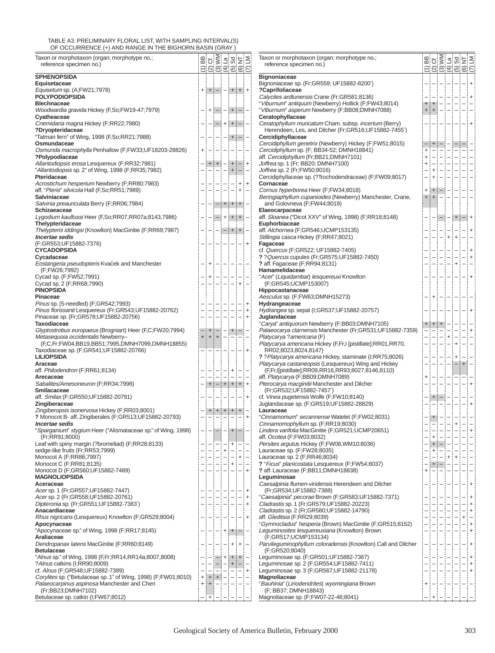| TABLE A3. PRELIMINARY FLORAL LIST, WITH SAMPLING INTERVAL(S) |  |
|--------------------------------------------------------------|--|
| OF OCCURRENCE (+) AND RANGE IN THE BIGHORN BASIN (GRAY)      |  |

| Taxon or morphotaxon (organ; morphotype no.;                                                            |      |                          |         |                 |                          | ਸ਼ੵਖ਼ੑਲ਼ੑਜ਼ਫ਼ੑੑਖ਼ਗ਼       |                   | Taxon or morphotaxon (organ; morphotype no.;                    |       |            |                          |                          | ≌∣ৱ জ∣হ¦ই এ        |                |
|---------------------------------------------------------------------------------------------------------|------|--------------------------|---------|-----------------|--------------------------|---------------------------|-------------------|-----------------------------------------------------------------|-------|------------|--------------------------|--------------------------|--------------------|----------------|
| reference specimen no.)                                                                                 |      |                          |         |                 |                          | <u>ମିଥିଷ୍କି ପ୍ରିଟି ମ</u>  |                   | reference specimen no.)                                         |       |            |                          |                          | <u>ମ୍ଭ୍ରସ୍କ୍ଷ୍</u> |                |
| <b>SPHENOPSIDA</b>                                                                                      |      |                          |         |                 |                          |                           |                   |                                                                 |       |            |                          |                          |                    |                |
|                                                                                                         |      |                          |         |                 |                          |                           |                   | <b>Bignoniaceae</b>                                             |       |            |                          |                          |                    |                |
| Equisetaceae                                                                                            |      |                          |         |                 |                          |                           |                   | Bignoniaceae sp. (Fr;GR559; UF15882-8200')                      |       |            |                          |                          |                    |                |
| Equisetum sp. (A;FW21;7978)                                                                             |      |                          |         |                 |                          | +   +   -   -   +   +   + |                   | ?Caprifoliaceae                                                 |       |            |                          |                          |                    |                |
| <b>POLYPODIOPSIDA</b>                                                                                   |      |                          |         |                 |                          |                           |                   | Calycites ardtunensis Crane (Fr;GR581;8136)                     |       |            |                          |                          |                    | $\overline{+}$ |
| <b>Blechnaceae</b>                                                                                      |      |                          |         |                 |                          |                           |                   | "Viburnum" antiquum (Newberry) Hollick (F;FW43;8014)            |       | $+$        |                          | $ \vdots$                |                    |                |
| Woodwardia gravida Hickey (F, So; FW19-47; 7979)                                                        |      |                          |         | $+(-(-)+)$      |                          | $-1-$                     |                   | "Viburnum" asperum Newberry (F;BB08;DMNH7088)                   | $+$ : | $+$        | $\equiv$                 |                          |                    |                |
| Cyatheaceae                                                                                             |      |                          |         |                 |                          |                           |                   | Ceratophyllaceae                                                |       |            |                          |                          |                    |                |
| Cnemidaria magna Hickey (F;RR22;7980)                                                                   |      |                          |         |                 |                          | -------                   |                   | Ceratophyllum muricatum Cham. subsp. incertum (Berry)           |       |            |                          |                          |                    |                |
| ?Dryopteridaceae                                                                                        |      |                          |         |                 |                          |                           |                   | Herendeen, Les, and Dilcher (Fr;GR516;UF15882-7455')            |       |            |                          |                          |                    |                |
| "Tatman fern" of Wing, 1998 (F, So; RR21; 7988)                                                         |      |                          |         |                 |                          | $+(-)$                    |                   | Cercidiphyllaceae                                               |       |            |                          |                          |                    |                |
| Osmundaceae                                                                                             |      |                          |         |                 |                          |                           |                   | Cercidiphyllum genetrix (Newberry) Hickey (F;FW51;8015)         |       |            |                          |                          | $+(-i-i-i-i-1$     |                |
| Osmunda macrophylla Penhallow (F;FW33;UF18203-28826)                                                    | $+:$ | $\overline{\phantom{0}}$ | $-1-$   |                 | i — i                    | $\overline{\phantom{0}}$  | $\qquad \qquad -$ | Cercidiphyllum sp. (F; BB34-52; DMNH18841)                      |       |            | i — i                    |                          | - 1                | $-1-$          |
| ?Polypodiaceae                                                                                          |      |                          |         |                 |                          |                           |                   | aff. Cercidiphyllum (Fr;BB21;DMNH7101)                          |       |            |                          |                          |                    |                |
|                                                                                                         |      |                          |         | $+(-1)(-1)(-1)$ |                          | $-1+$                     |                   | Joffrea sp. 1 (Fr; BB20; DMNH7100)                              |       |            |                          |                          |                    |                |
| Allantodiopsis erosa Lesquereux (F;RR32;7981)<br>"Allantodiopsis sp. 2" of Wing, 1998 (F;RR35;7982)     |      |                          | $-1-$   |                 | $ + $                    | - 1                       | $\qquad \qquad -$ |                                                                 |       |            |                          |                          |                    |                |
|                                                                                                         |      |                          |         |                 |                          |                           |                   | Joffrea sp. 2 (Fr;FW50;8016)                                    |       |            |                          |                          |                    |                |
| Pteridaceae                                                                                             |      |                          |         |                 |                          |                           |                   | Cercidiphyllaceae sp. (?Trochodendraceae) (F;FW09;8017)         |       |            |                          |                          |                    |                |
| Acrostichum hesperium Newberry (F;RR80;7983)                                                            |      |                          |         |                 | $:-:$                    | $+;+$                     |                   | Cornaceae                                                       |       |            |                          |                          |                    |                |
| aff. "Pteris" silvicola Hall (F,So;RR51;7989)                                                           |      |                          |         | $-(-)$          |                          | $+:-$                     |                   | Cornus hyperborea Heer (F;FW34;8018)                            |       |            |                          |                          | $+3+(-1-1-1-1-$    |                |
| Salviniaceae                                                                                            |      |                          |         |                 |                          |                           |                   | Beringiaphyllum cupanioides (Newberry) Manchester, Crane,       |       | $+ : + :$  | $-1$                     |                          |                    |                |
| Salvinia preauriculata Berry (F;RR06;7984)                                                              |      |                          |         | $-++++$         |                          |                           |                   | and Golovneva (F;FW44;8019)                                     |       |            |                          |                          |                    |                |
| Schizaeaceae                                                                                            |      |                          |         |                 |                          |                           |                   | Elaeocarpaceae                                                  |       |            |                          |                          |                    |                |
| Lygodium kaulfussi Heer (F,So;RR07,RR07a;8143,7986)                                                     |      |                          |         |                 |                          | i-i+i+i+i-                |                   | aff. Sloanea ("Dicot XXV" of Wing, 1998) (F;RR18;8148)          |       |            | $-1-1$                   |                          | $-1+(-1) +$        |                |
| Thelypteridaceae                                                                                        |      |                          |         |                 |                          |                           |                   | Euphorbiaceae                                                   |       |            |                          |                          |                    |                |
| Thelypteris iddingsi (Knowlton) MacGinitie (F;RR69;7987)                                                |      |                          |         |                 |                          | -i-i-i-i+i+i-             |                   | aff. Alchornea (F;GR546;UCMP153135)                             |       |            | $\overline{\phantom{0}}$ |                          |                    | $-1+$          |
| Incertae sedis                                                                                          |      |                          |         |                 |                          |                           |                   | Stillingia casca Hickey (F;RR47;8021)                           |       |            |                          |                          | $^{+}$             |                |
| (F;GR553;UF15882-7376)                                                                                  |      |                          |         |                 |                          |                           | $+$               | Fagaceae                                                        |       |            |                          |                          |                    |                |
| <b>CYCADOPSIDA</b>                                                                                      |      |                          |         |                 |                          |                           |                   | cf. Quercus (F;GR522; UF15882-7405)                             |       |            |                          |                          |                    |                |
|                                                                                                         |      |                          |         |                 |                          |                           |                   |                                                                 |       |            |                          |                          |                    |                |
| Cycadaceae                                                                                              |      |                          |         |                 |                          |                           |                   | ? ? Quercus cupules (Fr;GR575;UF15882-7450)                     |       |            |                          |                          |                    | $\ddot{}$      |
| Eostangeria pseudopteris Kvaček and Manchester                                                          |      | $\ddot{}$                |         |                 | $\overline{\phantom{0}}$ |                           |                   | ? aff. Fagaceae (F;RR94;8131)                                   |       |            |                          |                          |                    |                |
| (F;FW26;7992)                                                                                           |      |                          |         |                 |                          |                           |                   | Hamamelidaceae                                                  |       |            |                          |                          |                    |                |
| Cycad sp. (F;FW52;7991)                                                                                 |      | $^{+}$                   |         |                 | -                        |                           |                   | "Acer" (Liquidambar) lesquereuxi Knowlton                       |       |            |                          |                          |                    |                |
| Cycad sp. 2 (F;RR68;7990)                                                                               |      |                          |         |                 |                          | $^{+}$                    |                   | (F;GR545;UCMP153007)                                            |       |            |                          |                          |                    |                |
| <b>PINOPSIDA</b>                                                                                        |      |                          |         |                 |                          |                           |                   | Hippocastanaceae                                                |       |            |                          |                          |                    |                |
| Pinaceae                                                                                                |      |                          |         |                 |                          |                           |                   | Aesculus sp. (F;FW63;DMNH15273)                                 |       | $+:-$      |                          |                          |                    |                |
| Pinus sp. (5-needled) (F;GR542;7993)                                                                    |      |                          |         |                 |                          | $-+$                      |                   | Hydrangeaceae                                                   |       |            |                          |                          |                    |                |
| Pinus florissanti Lesquereux (Fr;GR543;UF15882-20762)                                                   |      |                          |         | $- - - - $      |                          | $-1+$                     |                   | Hydrangea sp. sepal (I;GR537;UF15882-20757)                     |       |            |                          |                          |                    |                |
| Pinaceae sp. (Fr;GR578;UF15882-20756)                                                                   |      |                          |         |                 | - 1                      | $-1+$                     |                   | Juglandaceae                                                    |       |            |                          |                          |                    |                |
| <b>Taxodiaceae</b>                                                                                      |      |                          |         |                 |                          |                           |                   | "Carya" antiquorum Newberry (F;BB03;DMNH7105)                   |       | $+1+1+1-1$ |                          |                          |                    |                |
| Glyptostrobus europaeus (Brogniart) Heer (F,C;FW20;7994)                                                |      |                          |         |                 |                          | $-(-1)(-1)(-1)(-1)$       |                   | Palaeocarya clarnensis Manchester (Fr;GR531;UF15882-7359)       |       |            |                          |                          | -:-:-:-:-:-:+      |                |
|                                                                                                         |      |                          |         |                 |                          |                           |                   |                                                                 |       |            |                          |                          |                    |                |
| Metasequoia occidentalis Newberry-                                                                      |      |                          | $+ + +$ |                 |                          |                           |                   | Platycarya?americana (F)                                        |       |            |                          |                          |                    |                |
| (F,C,Fr;FW04,BB19,BB51;7995,DMNH7099,DMNH18855)                                                         |      |                          |         |                 |                          |                           |                   | Platycarya americana Hickey (F, Fr, I [pistillate]; RR01, RR70, |       |            |                          |                          | $\ddot{}$          |                |
| Taxodiaceae sp. (F;GR541;UF15882-20766)                                                                 |      |                          | $-!$    |                 | $\overline{\phantom{0}}$ |                           | $\ddot{}$         | RR02;8023,8024,8147)                                            |       |            |                          |                          |                    |                |
| <b>LILIOPSIDA</b>                                                                                       |      |                          |         |                 |                          |                           |                   | ? ? Platycarya americana Hickey, staminate (I;RR75;8026)        |       |            |                          |                          | $+$                |                |
| Araceae                                                                                                 |      |                          |         |                 |                          |                           |                   | Platycarya castaneopsis (Lesquereux) Wing and Hickey            |       |            |                          |                          | $+$                |                |
| aff. Philodendron (F;RR61;8134)                                                                         |      |                          |         |                 | $+$                      | - i                       |                   | (F,Fr,I[pistillate];RR09,RR16,RR93;8027,8146,8110)              |       |            |                          |                          |                    |                |
| Arecaceae                                                                                               |      |                          |         |                 |                          |                           |                   | aff. Platycarya (F;BB09;DMNH7089)                               |       |            |                          |                          |                    |                |
| Sabalites/Amesoneuron (F;RR34;7998)                                                                     |      |                          |         |                 |                          | $+(-+++++$                |                   | Pterocarya macginitii Manchester and Dilcher                    |       |            |                          |                          |                    |                |
| Smilacaceae                                                                                             |      |                          |         |                 |                          |                           |                   | (Fr;GR532;UF15882-7457')                                        |       |            |                          |                          |                    |                |
| aff. Smilax (F;GR550;UF15882-20791)                                                                     |      |                          |         |                 | $\overline{\phantom{0}}$ | $-1+$                     |                   | cf. Vinea pugetensis Wolfe (F;FW10;8140)                        |       |            | $+:-;$                   | $\overline{\phantom{0}}$ |                    |                |
| Zingiberaceae                                                                                           |      |                          |         |                 |                          |                           |                   | Juglandaceae sp. (F;GR519;UF15882-28829)                        |       |            |                          |                          |                    |                |
|                                                                                                         |      |                          |         |                 |                          |                           |                   | Lauraceae                                                       |       |            |                          |                          |                    |                |
| Zingiberopsis isonervosa Hickey (F;RR03;8001)<br>? Monocot B- aff. Zingiberales (F;GR513;UF15882-20793) |      |                          |         | :+:+:+:+:+:     | $-1$                     | $-1+$                     | $\qquad \qquad -$ | "Cinnamomum" sezannense Watelet (F;FW02;8031)                   |       |            |                          |                          |                    |                |
|                                                                                                         |      |                          |         |                 |                          |                           |                   |                                                                 |       |            |                          |                          | (+)-)-)-)-)        |                |
| Incertae sedis                                                                                          |      |                          |         |                 |                          |                           |                   | Cinnamomophyllum sp. (F;RR19;8030)                              |       |            | $-1 - 1 - 1 + 1$         |                          |                    |                |
| 'Sparganium" stygium Heer ("Alismataceae sp." of Wing, 1998)                                            |      |                          |         |                 |                          |                           |                   | Lindera varifolia MacGinitie (F;GR521;UCMP20651)                |       |            |                          |                          |                    | $-1+$          |
| (Fr;RR91;8000)                                                                                          |      |                          |         |                 |                          |                           |                   | aff. Ocotea (F;FW03;8032)                                       |       |            |                          |                          |                    |                |
| Leaf with spiny margin (?bromeliad) (F;RR28;8133)                                                       |      |                          |         |                 | $+$                      |                           |                   | Persites argutus Hickey (F;FW08,WM10;8036)                      |       |            |                          |                          |                    |                |
| sedge-like fruits (Fr;RR53;7999)                                                                        |      |                          |         |                 |                          | i – I + I – I – I –       |                   | Lauraceae sp. (F;FW28;8035)                                     |       | $+$ :      | $=$                      |                          | - 1                | $-1-$          |
| Monocot A (F;RR86;7997)                                                                                 |      |                          |         |                 |                          | $+:-$                     |                   | Lauraceae sp. 2 (F;RR46;8034)                                   |       |            |                          | $+$ :                    | $+(-)$             |                |
| Monocot C (F;RR81;8135)                                                                                 |      |                          |         |                 | $+$                      |                           |                   | ? "Ficus" planicostata Lesquereux (F;FW54;8037)                 |       |            |                          |                          |                    |                |
| Monocot D (F;GR560;UF15882-7489)                                                                        |      |                          |         |                 |                          |                           | $\ddot{}$         | ? aff. Lauraceae (F;BB11;DMNH18838)                             |       |            |                          |                          |                    |                |
| <b>MAGNOLIOPSIDA</b>                                                                                    |      |                          |         |                 |                          |                           |                   | Leguminosae                                                     |       |            |                          |                          |                    |                |
| Aceraceae                                                                                               |      |                          |         |                 |                          |                           |                   | Caesalpinia flumen-viridensis Herendeen and Dilcher             |       |            |                          | $-$ :                    | $-1$               | $-1+$          |
| Acer sp. 1 (Fr; GR557; UF15882-7447)                                                                    |      |                          |         | $-(-1-(-1-1)$   |                          | $-$ :                     | $^{+}$            | (Fr;GR534;UF15882-7388)                                         |       |            |                          |                          |                    |                |
| Acer sp. 2 (Fr;GR558;UF15882-20761)                                                                     |      |                          |         | $i = i = i - i$ |                          | $-1+$                     |                   | "Caesalpinia" pecorae Brown (F;GR583;UF15882-7371)              |       |            |                          |                          |                    | $\overline{+}$ |
|                                                                                                         |      |                          |         |                 |                          |                           | $\ddot{}$         | Cladrastis sp. 1 (Fr;GR579;UF15882-20223)                       |       |            |                          |                          |                    |                |
| Dipteronia sp. (Fr;GR551;UF15882-7383')                                                                 |      |                          |         |                 |                          |                           |                   |                                                                 |       |            |                          |                          |                    |                |
| Anacardiaceae                                                                                           |      |                          |         |                 |                          |                           |                   | Cladrastis sp. 2 (Fr;GR580;UF15882-14790)                       |       |            |                          |                          |                    |                |
| Rhus nigricans (Lesquereux) Knowlton (F;GR529;8004)                                                     |      |                          |         |                 | i — i                    | $-1+$                     |                   | aff. Gleditsia (F;RR29;8039)                                    |       |            |                          |                          | $+$                |                |
| Apocynaceae                                                                                             |      |                          |         |                 |                          |                           |                   | "Gymnocladus" hesperia (Brown) MacGinitie (F;GR515;8152)        |       |            | — i — i — i              |                          | $-1-1+$            |                |
| "Apocynaceae sp." of Wing, 1998 (F;RR17;8145)                                                           |      |                          |         |                 |                          | $1 - 1 + 1 + 1 - 1 -$     |                   | Leguminosites lesquereuxiana (Knowlton) Brown                   |       |            |                          |                          |                    | $\ddot{}$      |
| Araliaceae                                                                                              |      |                          |         |                 |                          |                           |                   | (F;GR517;UCMP153134)                                            |       |            |                          |                          |                    |                |
| Dendropanax latens MacGinitie (F;RR60;8149)                                                             |      |                          |         |                 |                          | i + i + i —               |                   | Parvileguminophyllum coloradensis (Knowlton) Call and Dilcher   |       |            |                          |                          |                    |                |
| <b>Betulaceae</b>                                                                                       |      |                          |         |                 |                          |                           |                   | (F;GR520;8040)                                                  |       |            |                          |                          |                    |                |
| "Alnus sp." of Wing, 1998 (F, Fr; RR14, RR14a; 8007, 8008)                                              |      |                          |         |                 |                          | $-(-) + (-) + (-) - (-)$  |                   | Leguminosae sp. (F;GR501;UF15882-7367)                          |       |            |                          |                          |                    |                |
| ?Alnus catkins (I;RR90;8009)                                                                            |      |                          |         | $-1 + 1$        |                          |                           |                   | Leguminosae sp. 2 (F;GR554;UF15882-7411)                        |       |            |                          |                          |                    |                |
| cf. Alnus (F;GR548;UF15882-7389)                                                                        |      |                          | 니       | $-1 - 1$        |                          | $=$ $+$                   |                   | Leguminosae sp. 3 (F;GR567;UF15882-21178)                       |       |            |                          |                          |                    |                |
| Corylites sp. ("Betulaceae sp. 1" of Wing, 1998) (F;FW01;8010)                                          |      |                          |         |                 |                          | $+(-+(-+)-(-)$            |                   | Magnoliaceae                                                    |       |            |                          |                          |                    |                |
| Palaeocarpinus aspinosa Manchester and Chen                                                             | $+1$ | $+$                      | $-1$    |                 | - 1                      | $-1$                      |                   | "Bauhinia" (Liriodendrites) wyomingiana Brown                   | $+$ : |            |                          |                          |                    |                |
|                                                                                                         |      |                          |         |                 |                          |                           |                   |                                                                 |       |            |                          |                          |                    |                |
| (Fr;BB23;DMNH7102)                                                                                      |      |                          |         |                 |                          |                           |                   | (F; BB37; DMNH18843)                                            |       |            |                          |                          |                    |                |
| Betulaceae sp. catkin (I;FW67;8012)                                                                     |      | $+$                      |         |                 |                          |                           |                   | Magnoliaceae sp. (F;FW07-22-46;8041)                            |       |            |                          |                          |                    |                |

| Taxon or morphotaxon (organ; morphotype no.;                                          |       | 리리회의 리                                                                                                                                                                                                                                                                                                                                                                                               |                        |       |    |       |
|---------------------------------------------------------------------------------------|-------|------------------------------------------------------------------------------------------------------------------------------------------------------------------------------------------------------------------------------------------------------------------------------------------------------------------------------------------------------------------------------------------------------|------------------------|-------|----|-------|
| reference specimen no.)                                                               |       | <u> ସ୍ରସ୍କାତ୍ତ୍ତ</u>                                                                                                                                                                                                                                                                                                                                                                                 |                        |       |    |       |
| <b>Bignoniaceae</b>                                                                   |       |                                                                                                                                                                                                                                                                                                                                                                                                      |                        |       |    |       |
| Bignoniaceae sp. (Fr;GR559; UF15882-8200')                                            |       | itititititit                                                                                                                                                                                                                                                                                                                                                                                         |                        |       |    |       |
| ?Caprifoliaceae                                                                       |       |                                                                                                                                                                                                                                                                                                                                                                                                      |                        |       |    |       |
| Calycites ardtunensis Crane (Fr;GR581;8136)                                           |       | -i-i-i-i-i-i+                                                                                                                                                                                                                                                                                                                                                                                        |                        |       |    |       |
| "Viburnum" antiquum (Newberry) Hollick (F;FW43;8014)                                  |       | $+ \frac{1}{2} + \frac{1}{2} - \frac{1}{2} - \frac{1}{2} - \frac{1}{2} - \frac{1}{2} - \frac{1}{2} - \frac{1}{2} - \frac{1}{2} - \frac{1}{2} - \frac{1}{2} - \frac{1}{2} - \frac{1}{2} - \frac{1}{2} - \frac{1}{2} - \frac{1}{2} - \frac{1}{2} - \frac{1}{2} - \frac{1}{2} - \frac{1}{2} - \frac{1}{2} - \frac{1}{2} - \frac{1}{2} - \frac{1}{2} - \frac{1}{2} - \frac{1}{2} - \frac{1}{2} - \frac{$ |                        |       |    |       |
| "Viburnum" asperum Newberry (F;BB08;DMNH7088)                                         |       | + : + : - : - : - : -                                                                                                                                                                                                                                                                                                                                                                                |                        |       |    |       |
| Ceratophyllaceae<br>Ceratophyllum muricatum Cham. subsp. incertum (Berry)             |       |                                                                                                                                                                                                                                                                                                                                                                                                      | --------               |       |    |       |
| Herendeen, Les, and Dilcher (Fr;GR516;UF15882-7455')                                  |       |                                                                                                                                                                                                                                                                                                                                                                                                      |                        |       |    |       |
| Cercidiphyllaceae                                                                     |       |                                                                                                                                                                                                                                                                                                                                                                                                      |                        |       |    |       |
| Cercidiphyllum genetrix (Newberry) Hickey (F;FW51;8015)                               |       | -{+{-{-{-}-}-                                                                                                                                                                                                                                                                                                                                                                                        |                        |       |    |       |
| Cercidiphyllum sp. (F; BB34-52; DMNH18841)                                            |       | + : - : - : - : - : -                                                                                                                                                                                                                                                                                                                                                                                |                        |       |    |       |
| aff. Cercidiphyllum (Fr;BB21;DMNH7101)                                                |       | ナキーキーキーキーキー                                                                                                                                                                                                                                                                                                                                                                                          |                        |       |    |       |
| Joffrea sp. 1 (Fr; BB20; DMNH7100)<br>Joffrea sp. 2 (Fr;FW50;8016)                    |       | +i-i-i-i-i-i-<br>i + i - i - i - i -                                                                                                                                                                                                                                                                                                                                                                 |                        |       |    |       |
| Cercidiphyllaceae sp. (?Trochodendraceae) (F;FW09;8017)                               |       | i + i - i - i                                                                                                                                                                                                                                                                                                                                                                                        |                        |       |    |       |
| Cornaceae                                                                             |       |                                                                                                                                                                                                                                                                                                                                                                                                      |                        |       |    |       |
| Cornus hyperborea Heer (F;FW34;8018)                                                  |       | $+ \rceil + \rceil - \rceil - \rceil - \rceil - \rceil -$                                                                                                                                                                                                                                                                                                                                            |                        |       |    |       |
| Beringiaphyllum cupanioides (Newberry) Manchester, Crane,                             |       | ナミナミーミーミーミー                                                                                                                                                                                                                                                                                                                                                                                          |                        |       |    |       |
| and Golovneva (F;FW44;8019)                                                           |       |                                                                                                                                                                                                                                                                                                                                                                                                      |                        |       |    |       |
| Elaeocarpaceae                                                                        |       |                                                                                                                                                                                                                                                                                                                                                                                                      |                        |       |    |       |
| aff. Sloanea ("Dicot XXV" of Wing, 1998) (F;RR18;8148)                                |       |                                                                                                                                                                                                                                                                                                                                                                                                      | $-(-(-) + (-$          |       |    | ļ+    |
| Euphorbiaceae                                                                         |       |                                                                                                                                                                                                                                                                                                                                                                                                      |                        |       |    |       |
| aff. Alchornea (F;GR546;UCMP153135)<br>Stillingia casca Hickey (F;RR47;8021)          |       |                                                                                                                                                                                                                                                                                                                                                                                                      |                        |       |    | $+$   |
| Fagaceae                                                                              |       | -{-{-{+}+}-                                                                                                                                                                                                                                                                                                                                                                                          |                        |       |    |       |
| cf. Quercus (F;GR522; UF15882-7405)                                                   |       | -:-:-:-:-:-:+                                                                                                                                                                                                                                                                                                                                                                                        |                        |       |    |       |
| ? ? Quercus cupules (Fr;GR575;UF15882-7450)                                           |       | $(-; -; -; -; -; -; +$                                                                                                                                                                                                                                                                                                                                                                               |                        |       |    |       |
| ? aff. Fagaceae (F;RR94;8131)                                                         |       | $[-(-1)(-1)] + (-1)$                                                                                                                                                                                                                                                                                                                                                                                 |                        |       |    |       |
| Hamamelidaceae                                                                        |       |                                                                                                                                                                                                                                                                                                                                                                                                      |                        |       |    |       |
| "Acer" (Liquidambar) lesquereuxi Knowlton                                             |       |                                                                                                                                                                                                                                                                                                                                                                                                      | -i-i-i-                |       | į- | $+$   |
| (F;GR545;UCMP153007)                                                                  |       |                                                                                                                                                                                                                                                                                                                                                                                                      |                        |       |    |       |
| Hippocastanaceae<br>Aesculus sp. (F;FW63;DMNH15273)                                   |       |                                                                                                                                                                                                                                                                                                                                                                                                      |                        |       |    |       |
| Hydrangeaceae                                                                         |       | 다비다다                                                                                                                                                                                                                                                                                                                                                                                                 |                        |       |    |       |
| Hydrangea sp. sepal (I;GR537;UF15882-20757)                                           |       | i-i-i-i-i-                                                                                                                                                                                                                                                                                                                                                                                           |                        |       |    | $+$   |
| Juglandaceae                                                                          |       |                                                                                                                                                                                                                                                                                                                                                                                                      |                        |       |    |       |
| "Carya" antiquorum Newberry (F;BB03;DMNH7105)                                         |       | +{+{+{-{-{-}                                                                                                                                                                                                                                                                                                                                                                                         |                        |       |    |       |
| Palaeocarya clarnensis Manchester (Fr;GR531;UF15882-7359)                             |       | $(-(-) - (-)$                                                                                                                                                                                                                                                                                                                                                                                        |                        | $-:-$ |    | $+$   |
| Platycarya ?americana (F)                                                             |       | -i-i-i+i-i-                                                                                                                                                                                                                                                                                                                                                                                          |                        |       |    |       |
| Platycarya americana Hickey (F, Fr, I [pistillate]; RR01, RR70,                       |       | : - : - : - : + : -                                                                                                                                                                                                                                                                                                                                                                                  |                        |       |    |       |
| RR02;8023,8024,8147)<br>? ? Platycarya americana Hickey, staminate (I;RR75;8026)      |       |                                                                                                                                                                                                                                                                                                                                                                                                      | $-(-(-) - (-) + (-)$   |       |    |       |
| Platycarya castaneopsis (Lesquereux) Wing and Hickey                                  |       |                                                                                                                                                                                                                                                                                                                                                                                                      | $-(-(-1-(-1)^2)^2 -$   |       |    |       |
| (F,Fr,I[pistillate];RR09,RR16,RR93;8027,8146,8110)                                    |       |                                                                                                                                                                                                                                                                                                                                                                                                      |                        |       |    |       |
| aff. <i>Platycarya</i> (F;BB09;DMNH7089)                                              | $+$ : |                                                                                                                                                                                                                                                                                                                                                                                                      |                        |       |    |       |
| Pterocarya macginitii Manchester and Dilcher                                          |       |                                                                                                                                                                                                                                                                                                                                                                                                      | $-(-(-) - (-) - (-) +$ |       |    |       |
| (Fr;GR532;UF15882-7457')                                                              |       |                                                                                                                                                                                                                                                                                                                                                                                                      |                        |       |    |       |
| cf. Vinea pugetensis Wolfe (F;FW10;8140)                                              |       | -{+}-}-}-}-                                                                                                                                                                                                                                                                                                                                                                                          |                        |       |    |       |
| Juglandaceae sp. (F;GR519;UF15882-28829)                                              |       | $(-(-1 - (-1 - 1 - 1 +$                                                                                                                                                                                                                                                                                                                                                                              |                        |       |    |       |
| Lauraceae<br>"Cinnamomum" sezannense Watelet (F;FW02;8031)                            |       |                                                                                                                                                                                                                                                                                                                                                                                                      |                        |       |    |       |
| Cinnamomophyllum sp. (F;RR19;8030)                                                    |       | ーミナミーミーミーミー<br>$\overline{1-1} - 1 - 1 + 1 - 1 -$                                                                                                                                                                                                                                                                                                                                                    |                        |       |    |       |
| Lindera varifolia MacGinitie (F;GR521;UCMP20651)                                      |       |                                                                                                                                                                                                                                                                                                                                                                                                      |                        |       |    | $+$   |
| aff. <i>Ocotea</i> (F;FW03;8032)                                                      |       | -{+}-}-}-}-}-                                                                                                                                                                                                                                                                                                                                                                                        |                        |       |    |       |
| Persites argutus Hickey (F;FW08,WM10;8036)                                            |       | $-1 + 1 - 1 - 1 - 1 -$                                                                                                                                                                                                                                                                                                                                                                               |                        |       |    |       |
| Lauraceae sp. (F;FW28;8035)                                                           |       | -{+}-}-}-}-}-                                                                                                                                                                                                                                                                                                                                                                                        |                        |       |    |       |
| Lauraceae sp. 2 (F;RR46;8034)                                                         |       | -:-:-:+:+:-:-                                                                                                                                                                                                                                                                                                                                                                                        |                        |       |    |       |
| ? "Ficus" planicostata Lesquereux (F;FW54;8037)                                       |       | -{+{-}-}-}-}-                                                                                                                                                                                                                                                                                                                                                                                        |                        |       |    |       |
| ? aff. Lauraceae (F;BB11;DMNH18838)                                                   |       | $+(-;-;-)$                                                                                                                                                                                                                                                                                                                                                                                           |                        |       |    |       |
| Leguminosae<br>Caesalpinia flumen-viridensis Herendeen and Dilcher                    |       | キーキーキーキー                                                                                                                                                                                                                                                                                                                                                                                             |                        |       |    | $+$   |
| (Fr;GR534;UF15882-7388)                                                               |       |                                                                                                                                                                                                                                                                                                                                                                                                      |                        |       |    |       |
| "Caesalpinia" pecorae Brown (F;GR583;UF15882-7371)                                    |       |                                                                                                                                                                                                                                                                                                                                                                                                      | -{-}-}-}-}+            |       |    |       |
| Cladrastis sp. 1 (Fr;GR579;UF15882-20223)                                             |       | -1-1-1-1-1-1+                                                                                                                                                                                                                                                                                                                                                                                        |                        |       |    |       |
| Cladrastis sp. 2 (Fr;GR580;UF15882-14790)                                             |       |                                                                                                                                                                                                                                                                                                                                                                                                      | $-(-)$                 |       |    | $+$   |
| aff. <i>Gleditsia</i> (F;RR29;8039)                                                   |       | -:-:-:-:-:+:-                                                                                                                                                                                                                                                                                                                                                                                        |                        |       |    |       |
| "Gymnocladus" hesperia (Brown) MacGinitie (F;GR515;8152)                              |       | -1-1-1-1-1-1+                                                                                                                                                                                                                                                                                                                                                                                        |                        |       |    |       |
| Leguminosites lesquereuxiana (Knowlton) Brown                                         |       | -   —   —   —   —   —                                                                                                                                                                                                                                                                                                                                                                                |                        |       |    | $+$   |
| (F;GR517;UCMP153134)<br>Parvileguminophyllum coloradensis (Knowlton) Call and Dilcher |       | i – i – i – i – i –                                                                                                                                                                                                                                                                                                                                                                                  |                        |       |    |       |
| (F;GR520;8040)                                                                        |       |                                                                                                                                                                                                                                                                                                                                                                                                      |                        |       |    | $; +$ |
| Leguminosae sp. (F;GR501;UF15882-7367)                                                |       |                                                                                                                                                                                                                                                                                                                                                                                                      | $-(-)$ - $-(-)$ - $-$  |       |    | $+$   |
| Leguminosae sp. 2 (F;GR554;UF15882-7411)                                              |       | -i-i-i-i-i-i+                                                                                                                                                                                                                                                                                                                                                                                        |                        |       |    |       |
| Leguminosae sp. 3 (F;GR567;UF15882-21178)                                             |       |                                                                                                                                                                                                                                                                                                                                                                                                      |                        |       |    | $+$   |
| Magnoliaceae                                                                          |       |                                                                                                                                                                                                                                                                                                                                                                                                      |                        |       |    |       |
| "Bauhinia" (Liriodendrites) wyomingiana Brown                                         |       |                                                                                                                                                                                                                                                                                                                                                                                                      |                        |       |    |       |
| (F; BB37; DMNH18843)<br>T1110722260011                                                |       |                                                                                                                                                                                                                                                                                                                                                                                                      |                        |       |    |       |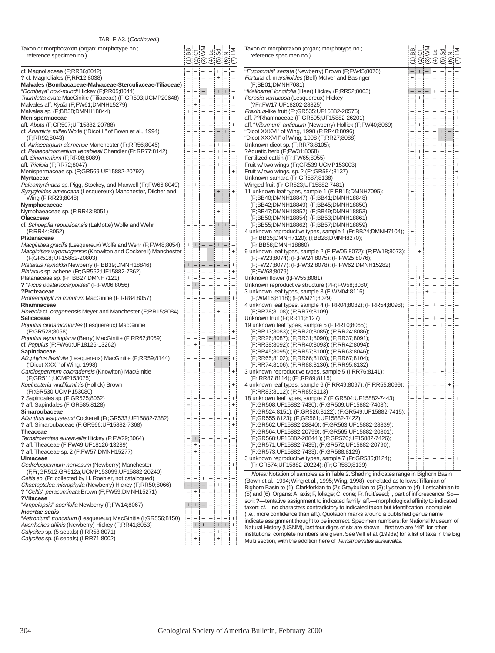TABLE A3. (Continued.)

| Taxon or morphotaxon (organ; morphotype no.;                                                                        |     |                         |        |                          |                 | $\mathbb{E}[\mathtt{z} \mathtt{z}]$ a $\mathbb{E}[\mathtt{z} \mathtt{z}]$ | Taxon or morphotaxon (organ; morphotype no.;                                                                                                                                               |                          |      |                              |                  | ≌ 로 화 출 a 과            |
|---------------------------------------------------------------------------------------------------------------------|-----|-------------------------|--------|--------------------------|-----------------|---------------------------------------------------------------------------|--------------------------------------------------------------------------------------------------------------------------------------------------------------------------------------------|--------------------------|------|------------------------------|------------------|------------------------|
| reference specimen no.)                                                                                             |     |                         |        |                          |                 | iSiପାତ୍ରାକାତା <b>ତା</b> ପ                                                 | reference specimen no.)                                                                                                                                                                    |                          |      |                              |                  | <u>ମିଥିଷ୍କି ପ୍ରକାମ</u> |
|                                                                                                                     |     |                         |        |                          |                 |                                                                           |                                                                                                                                                                                            |                          |      |                              |                  |                        |
| cf. Magnoliaceae (F;RR36;8042)                                                                                      |     |                         | $-1$   | $-$                      | $\ddot{+}$      | $\overline{\phantom{0}}$                                                  | "Eucommia" serrata (Newberry) Brown (F;FW45;8070)                                                                                                                                          | $-1+$                    |      |                              |                  |                        |
| ? cf. Magnoliales (F;RR12;8038)<br>Malvales (Bombacaceae-Malvaceae-Sterculiaceae-Tiliaceae)                         |     |                         |        |                          | $+$             | $\overline{\phantom{0}}$                                                  | Fortuna cf. marsilioides (Bell) McIver and Basinger<br>$+$ :<br>(F;BB01;DMNH7081)                                                                                                          | $\overline{\phantom{m}}$ |      |                              |                  |                        |
| "Dombeya" novi-mundi Hickey (F;RR05;8044)                                                                           |     |                         |        | $+ + + $                 |                 |                                                                           | "Meliosma" longifolia (Heer) Hickey (F;RR52;8003)                                                                                                                                          |                          |      | $-\frac{1}{2} + \frac{1}{2}$ |                  |                        |
| Triumfetta ovata MacGinitie (Tiliaceae) (F;GR503;UCMP20648)                                                         |     |                         |        |                          | $-1$            | $+$<br>$-1$                                                               | Porosia verrucosa (Lesquereux) Hickey                                                                                                                                                      | $+$                      |      |                              |                  |                        |
| Malvales aff. Kydia (F;FW61;DMNH15279)                                                                              |     | $+$                     | $-1$   |                          | $-1$            | -1                                                                        | (?Fr;FW17;UF18202-28825)                                                                                                                                                                   |                          |      |                              |                  |                        |
| Malvales sp. (F;BB38;DMNH18844)                                                                                     | $+$ |                         |        |                          |                 |                                                                           | Fraxinus-like fruit (Fr;GR535;UF15882-20575)                                                                                                                                               |                          |      |                              |                  |                        |
| Menispermaceae                                                                                                      |     |                         |        |                          |                 |                                                                           | aff. ??Rhamnaceae (F;GR505;UF15882-26201)                                                                                                                                                  |                          |      |                              |                  |                        |
| aff. Abuta (F;GR507;UF15882-20788)                                                                                  |     |                         |        |                          | $ \overline{ }$ | $\overline{\phantom{0}}$<br>$\ddot{}$                                     | aff. "Viburnum" antiquum (Newberry) Hollick (F;FW40;8069)                                                                                                                                  | $+$ '                    | $-1$ |                              |                  |                        |
| cf. Anamirta milleri Wolfe ("Dicot II" of Bown et al., 1994)                                                        |     |                         |        |                          |                 | $+$                                                                       | "Dicot XXXVI" of Wing, 1998 (F;RR48;8096)<br>"Dicot XXXVII" of Wing, 1998 (F;RR27;8088)                                                                                                    |                          |      | $\overline{\phantom{0}}$     | $\ddot{}$<br>$+$ |                        |
| (F;RR92;8043)<br>cf. Atriaecarpum clarnense Manchester (Fr;RR56;8045)                                               |     |                         |        | $-(-1)$ $-(-1)$          |                 |                                                                           | Unknown dicot sp. (F;RR73;8105);                                                                                                                                                           |                          |      |                              | $+$              |                        |
| cf. Palaeosinomenium venablesii Chandler (Fr;RR77;8142)                                                             |     |                         |        |                          | $+$             | - 1                                                                       | ?Aquatic herb (F;FW31;8068)                                                                                                                                                                |                          |      |                              |                  |                        |
| aff. Sinomenium (F;RR08;8089)                                                                                       |     |                         |        |                          | $+$             |                                                                           | Fertilized catkin (Fr;FW65;8055)                                                                                                                                                           |                          |      |                              |                  |                        |
| aff. Triclisia (F;RR72;8047)                                                                                        |     |                         |        |                          | $+$             | ÷,                                                                        | Fruit w/ two wings (Fr;GR539;UCMP153003)                                                                                                                                                   |                          |      |                              |                  |                        |
| Menispermaceae sp. (F;GR569;UF15882-20792)                                                                          |     |                         |        |                          |                 | $\equiv$                                                                  | Fruit w/ two wings, sp. 2 (Fr;GR584;8137)                                                                                                                                                  |                          |      |                              |                  |                        |
| <b>Myrtaceae</b>                                                                                                    |     |                         |        |                          |                 |                                                                           | Unknown samara (Fr;GR587;8138)                                                                                                                                                             |                          |      |                              |                  | $+$                    |
| Paleomyrtinaea sp. Pigg, Stockey, and Maxwell (Fr;FW66;8049)                                                        |     | -:+:-:-:                |        | $-1-1+1-1$               | $-1$            | $\equiv$                                                                  | Winged fruit (Fr;GR523;UF15882-7481)                                                                                                                                                       |                          |      |                              |                  |                        |
| Syzygioides americana (Lesquereux) Manchester, Dilcher and<br>Wing (F;RR23;8048)                                    |     |                         |        |                          |                 | $+$                                                                       | 11 unknown leaf types, sample 1 (F;BB15;DMNH7095);<br>(F;BB40;DMNH18847); (F;BB41;DMNH18848);                                                                                              |                          |      |                              |                  |                        |
| Nymphaeaceae                                                                                                        |     |                         |        |                          |                 |                                                                           | (F;BB42;DMNH18849); (F;BB45;DMNH18850);                                                                                                                                                    |                          |      |                              |                  |                        |
| Nymphaeaceae sp. (F;RR43;8051)                                                                                      |     |                         |        |                          | $+$             |                                                                           | (F;BB47;DMNH18852); (F;BB49;DMNH18853);                                                                                                                                                    |                          |      |                              |                  |                        |
| Olacaceae                                                                                                           |     |                         |        |                          |                 |                                                                           | (F;BB50;DMNH18854); (F;BB53;DMNH18861);                                                                                                                                                    |                          |      |                              |                  |                        |
| cf. Schoepfia republicensis (LaMotte) Wolfe and Wehr                                                                |     |                         |        |                          | $+$<br>$+$      |                                                                           | (F;BB55;DMNH18862); (F;BB57;DMNH18859)                                                                                                                                                     |                          |      |                              |                  |                        |
| (F;RR44;8052)                                                                                                       |     |                         |        |                          |                 |                                                                           | 4 unknown reproductive types, sample 1 (Fr;BB24;DMNH7104); :<br>$+$                                                                                                                        |                          |      |                              |                  |                        |
| Platanaceae                                                                                                         |     |                         |        |                          |                 |                                                                           | (Fr;BB25;DMNH7120); (I;BB28;DMNH8270);                                                                                                                                                     |                          |      |                              |                  |                        |
| Macginitiea gracilis (Lesquereux) Wolfe and Wehr (F;FW48;8054)                                                      |     | + : + : - : - : + : - : |        |                          |                 |                                                                           | (Fr;BB58;DMNH18860)                                                                                                                                                                        |                          |      |                              |                  |                        |
| Macginitiea wyomingensis (Knowlton and Cockerell) Manchester                                                        |     |                         |        |                          |                 | $+1$                                                                      | 9 unknown leaf types, sample 2 (F;FW05;8072); (F;FW18;8073);                                                                                                                               |                          |      |                              |                  |                        |
| (F;GR518; UF15882-20803)<br>Platanus raynoldsi Newberry (F;BB39;DMNH18846)                                          |     |                         |        |                          |                 |                                                                           | (F;FW23;8074); (F;FW24;8075); (F;FW25;8076);<br>(F;FW27;8077); (F;FW32;8078); (F;FW62;DMNH15282);                                                                                          |                          |      |                              |                  |                        |
| Platanus sp. achene (Fr;GR552;UF15882-7362)                                                                         |     |                         | $-1$   |                          | $-1$            | $-$<br>$+$                                                                | (F;FW68;8079)                                                                                                                                                                              |                          |      |                              |                  |                        |
| Platanaceae sp. (Fr; BB27;DMNH7121)                                                                                 |     | - 1                     | $- -1$ |                          | $-$ :           | $-$ ;                                                                     | Unknown flower (I;FW55;8081)                                                                                                                                                               | $+$                      |      | $-(-)$                       |                  |                        |
| ? "Ficus postartocarpoides" (F;FW06;8056)                                                                           |     | $+$                     |        | $\overline{\phantom{0}}$ | $-1$            | $\overline{\phantom{0}}$                                                  | Unknown reproductive structure (?Fr;FW58;8080)                                                                                                                                             | $+$                      |      | $-1$                         | $\equiv$         | $\overline{a}$         |
| ?Proteaceae                                                                                                         |     |                         |        |                          |                 |                                                                           | 3 unknown leaf types, sample 3 (F;WM04;8116);                                                                                                                                              |                          | $+$  |                              |                  |                        |
| Proteaciphyllum minutum MacGinitie (F;RR84;8057)                                                                    |     |                         |        |                          |                 | $-++$ $+$ $\frac{1}{2}$                                                   | (F;WM16;8118); (F;WM21;8029)                                                                                                                                                               |                          |      |                              |                  |                        |
| Rhamnaceae                                                                                                          |     |                         |        |                          |                 |                                                                           | 4 unknown leaf types, sample 4 (F;RR04;8082); (F;RR54;8098);                                                                                                                               |                          |      | $+$                          |                  |                        |
| Hovenia cf. oregonensis Meyer and Manchester (F;RR15;8084)                                                          |     |                         |        |                          |                 |                                                                           | (F;RR78;8108); (F;RR79;8109)                                                                                                                                                               |                          |      |                              |                  |                        |
| Salicaceae                                                                                                          |     |                         |        |                          |                 |                                                                           | Unknown fruit (Fr;RR11;8127)                                                                                                                                                               |                          | - 1  | $+$                          |                  |                        |
| Populus cinnamomoides (Lesquereux) MacGinitie                                                                       |     |                         |        |                          |                 |                                                                           | 19 unknown leaf types, sample 5 (F;RR10;8065);                                                                                                                                             |                          |      |                              |                  |                        |
| (F:GR528:8058)<br>Populus wyomingiana (Berry) MacGinitie (F;RR62;8059)                                              |     |                         |        | $-(-)+(-)$               |                 | $+$                                                                       | (F;RR13;8083); (F;RR20;8085); (F;RR24;8086);<br>(F;RR26;8087); (F;RR31;8090); (F;RR37;8091);                                                                                               |                          |      |                              |                  |                        |
| cf. Populus (F;FW60;UF18126-13262)                                                                                  |     | i + i                   | $-1-1$ |                          | $-i$            | $\overline{\phantom{0}}$                                                  | (F;RR38;8092); (F;RR40;8093); (F;RR42;8094);                                                                                                                                               |                          |      |                              |                  |                        |
| Sapindaceae                                                                                                         |     |                         |        |                          |                 |                                                                           | (F;RR45;8095); (F;RR57;8100); (F;RR63;8046);                                                                                                                                               |                          |      |                              |                  |                        |
| Allophylus flexifolia (Lesquereux) MacGinitie (F;RR59;8144)                                                         |     |                         |        |                          | $+(-)$          | $+$                                                                       | (F;RR65;8102); (F;RR66;8103); (F;RR67;8104);                                                                                                                                               |                          |      |                              |                  |                        |
| ("Dicot XXXI" of Wing, 1998)                                                                                        |     |                         |        |                          |                 |                                                                           | (F;RR74;8106); (F;RR88;8130); (F;RR95;8132)                                                                                                                                                |                          |      |                              |                  |                        |
| Cardiospermum coloradensis (Knowlton) MacGinitie                                                                    |     |                         |        |                          |                 |                                                                           | 3 unknown reproductive types, sample 5 (I;RR76;8141);                                                                                                                                      |                          |      |                              |                  |                        |
| (F:GR511:UCMP153075)                                                                                                |     |                         |        |                          |                 |                                                                           | (Fr;RR87;8114); (Fr;RR89;8115)                                                                                                                                                             |                          |      |                              |                  |                        |
| Koelreuteria viridifluminis (Hollick) Brown                                                                         |     |                         |        |                          |                 |                                                                           | 4 unknown leaf types, sample 6 (F;RR49;8097); (F;RR55;8099);                                                                                                                               |                          |      |                              |                  |                        |
| (Fr;GR530;UCMP153080)                                                                                               |     |                         |        |                          |                 |                                                                           | (F;RR83;8112); (F;RR85;8113)                                                                                                                                                               |                          |      |                              |                  |                        |
| ? Sapindales sp. (F;GR525;8062)<br>? aff. Sapindales (F;GR585;8128)                                                 |     |                         |        | $-1$                     | - 1             | - 1<br>$+$<br>$\overline{\phantom{0}}$<br>$+;$                            | 18 unknown leaf types, sample 7 (F;GR504;UF15882-7443);<br>(F;GR508;UF15882-7430); (F;GR509;UF15882-7408');                                                                                |                          |      |                              |                  |                        |
| Simaroubaceae                                                                                                       |     |                         |        |                          |                 |                                                                           | (F;GR524;8151); (F;GR526;8122); (F;GR549;UF15882-7415);                                                                                                                                    |                          |      |                              |                  |                        |
| Ailanthus lesquereuxi Cockerell (Fr;GR533;UF15882-7382)                                                             |     |                         |        |                          |                 |                                                                           | (F;GR555;8123); (F;GR561;UF15882-7422);                                                                                                                                                    |                          |      |                              |                  |                        |
| ? aff. Simaroubaceae (F;GR566;UF15882-7368)                                                                         |     |                         |        |                          |                 | $\ddot{}$                                                                 | (F;GR562;UF15882-28840); (F;GR563;UF15882-28839);                                                                                                                                          |                          |      |                              |                  |                        |
| Theaceae                                                                                                            |     |                         |        |                          |                 |                                                                           | (F;GR564;UF15882-20799); (F;GR565;UF15882-20801);                                                                                                                                          |                          |      |                              |                  |                        |
| Ternstroemites aureavallis Hickey (F;FW29;8064)                                                                     |     | $+$                     |        |                          |                 | -                                                                         | (F;GR568;UF15882-28844'); (F;GR570;UF15882-7426);                                                                                                                                          |                          |      |                              |                  |                        |
| ? aff. Theaceae (F;FW49;UF18126-13239)                                                                              |     | $\ddot{}$               |        |                          |                 | $\overline{\phantom{0}}$                                                  | (F;GR571;UF15882-7435); (F;GR572;UF15882-20790);                                                                                                                                           |                          |      |                              |                  |                        |
| ? aff. Theaceae sp. 2 (F;FW57;DMNH15277)                                                                            |     |                         |        |                          |                 |                                                                           | (F;GR573;UF15882-7433); (F;GR588;8129)                                                                                                                                                     |                          |      |                              |                  |                        |
| Ulmaceae<br>Cedrelospermum nervosum (Newberry) Manchester                                                           |     |                         |        |                          |                 |                                                                           | 3 unknown reproductive types, sample 7 (Fr;GR536;8124);<br>(Fr;GR574;UF15882-20224); (Fr;GR589;8139)                                                                                       |                          |      |                              |                  |                        |
| (F,Fr;GR512,GR512a;UCMP153099,UF15882-20240)                                                                        |     |                         |        |                          |                 |                                                                           |                                                                                                                                                                                            |                          |      |                              |                  |                        |
| Celtis sp. (Fr; collected by H. Roehler, not catalogued)                                                            |     | -                       | $+$    |                          |                 |                                                                           | Notes: Notation of samples as in Table 2. Shading indicates range in Bighorn Basin                                                                                                         |                          |      |                              |                  |                        |
| Chaetoptelea microphylla (Newberry) Hickey (F;RR50;8066)                                                            |     |                         |        |                          | $\ddot{}$       |                                                                           | (Bown et al., 1994; Wing et al., 1995; Wing, 1998), correlated as follows: Tiffanian of<br>Bighorn Basin to (1); Clarkforkian to (2); Graybullian to (3); Lysitean to (4); Lostcabinian to |                          |      |                              |                  |                        |
| ? "Celtis" peracuminata Brown (F;FW59;DMNH15271)                                                                    |     | $\ddot{}$               |        |                          |                 |                                                                           | (5) and (6). Organs: A, axis; F, foliage; C, cone; Fr, fruit/seed; I, part of inflorescence; So-                                                                                           |                          |      |                              |                  |                        |
| ?Vitaceae                                                                                                           |     |                         |        |                          |                 |                                                                           | sori; ?—tentative assignment to indicated family; aff.—morphological affinity to indicated                                                                                                 |                          |      |                              |                  |                        |
| "Ampelopsis" acerifolia Newberry (F;FW14;8067)                                                                      |     | $+ : +$                 |        |                          |                 |                                                                           | taxon; cf.—no characters contradictory to indicated taxon but identification incomplete                                                                                                    |                          |      |                              |                  |                        |
| Incertae sedis                                                                                                      |     |                         |        |                          |                 |                                                                           | (i.e., more confidence than aff.). Quotation marks around a published genus name                                                                                                           |                          |      |                              |                  |                        |
| "Astronium" truncatum (Lesquereux) MacGinitie (I;GR556;8150)<br>Averrhoites affinis (Newberry) Hickey (F;RR41;8053) |     | $+$                     | $+ + $ |                          | $+$             | $^{+}$<br>$\ddot{}$                                                       | indicate assignment thought to be incorrect. Specimen numbers: for National Museum of                                                                                                      |                          |      |                              |                  |                        |
| Calycites sp. (5 sepals) (I;RR58;8071)                                                                              |     |                         |        |                          | $\ddot{}$       |                                                                           | Natural History (USNM), last four digits of six are shown—first two are "49"; for other                                                                                                    |                          |      |                              |                  |                        |
| Calycites sp. (6 sepals) (I;RR71;8002)                                                                              |     | $\ddot{}$               |        |                          |                 |                                                                           | institutions, complete numbers are given. See Wilf et al. (1998a) for a list of taxa in the Big                                                                                            |                          |      |                              |                  |                        |
|                                                                                                                     |     |                         |        |                          |                 |                                                                           | Multi section, with the addition here of Ternstroemites aureavallis.                                                                                                                       |                          |      |                              |                  |                        |
|                                                                                                                     |     |                         |        |                          |                 |                                                                           |                                                                                                                                                                                            |                          |      |                              |                  |                        |
|                                                                                                                     |     |                         |        |                          |                 |                                                                           |                                                                                                                                                                                            |                          |      |                              |                  |                        |
|                                                                                                                     |     |                         |        |                          |                 |                                                                           |                                                                                                                                                                                            |                          |      |                              |                  |                        |
| 304                                                                                                                 |     |                         |        |                          |                 |                                                                           | Geological Society of America Bulletin, February 2000                                                                                                                                      |                          |      |                              |                  |                        |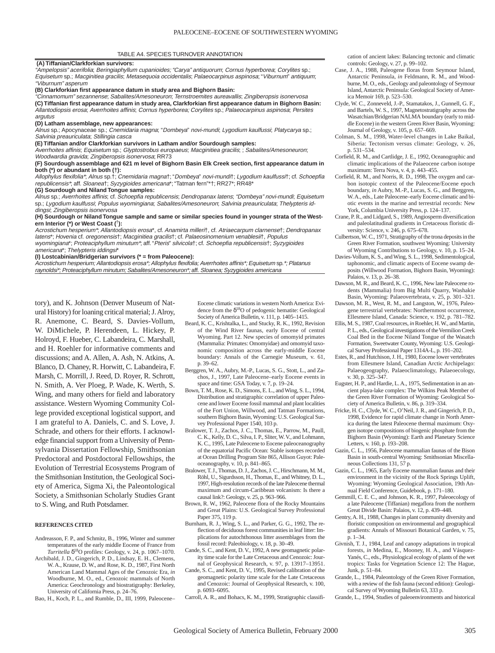#### TABLE A4. SPECIES TURNOVER ANNOTATION

#### **(A) Tiffanian/Clarkforkian survivors:**

"Ampelopsis" acerifolia; Beringiaphyllum cupanioides; "Carya" antiquorum; Cornus hyperborea; Corylites sp.; Equisetum sp.; Macginitiea gracilis; Metasequoia occidentalis; Palaeocarpinus aspinosa; "Viburnum" antiquum; "Viburnum" asperum

**(B) Clarkforkian first appearance datum in study area and Bighorn Basin:**

"Cinnamomum" sezannense; Sabalites/Amesoneuron; Ternstroemites aureavallis; Zingiberopsis isonervosa **(C) Tiffanian first appearance datum in study area, Clarkforkian first appearance datum in Bighorn Basin:** Allantodiopsis erosa; Averrhoites affinis; Cornus hyperborea; Corylites sp.; Palaeocarpinus aspinosa; Persites argutus

**(D) Latham assemblage, new appearances:**

Alnus sp.; Apocynaceae sp.; Cnemidaria magna; "Dombeya" novi-mundi; Lygodium kaulfussi; Platycarya sp.; Salvinia preauriculata; Stillingia casca

**(E) Tiffanian and/or Clarkforkian survivors in Latham and/or Sourdough samples:**

Averrhoites affinis; Equisetum sp.; Glyptostrobus europaeus; Macginitiea gracilis; ; Sabalites/Amesoneuron; Woodwardia gravida; Zingiberopsis isonervosa; RR73

**(F) Sourdough assemblage and 621 m level of Bighorn Basin Elk Creek section, first appearance datum in both (\*) or abundant in both (†):**

Allophylus flexifolia\*; Alnus sp.†; Cnemidaria magna†; "Dombeya" novi-mundi†; Lygodium kaulfussi†; cf. Schoepfia republicensis\*; aff. Sloanea†; Syzygioides americana\*; "Tatman fern"\*†; RR27\*; RR48\* **(G) Sourdough and Niland Tongue samples:**

Alnus sp.; Averrhoites affinis; cf. Schoepfia republicensis; Dendropanax latens; "Dombeya" novi-mundi; Equisetum sp.; Lygodium kaulfussi; Populus wyomingiana; Sabalites/Amesoneuron; Salvinia preauriculata; Thelypteris iddingsi; Zingiberopsis isonervosa

#### **(H) Sourdough or Niland Tongue sample and same or similar species found in younger strata of the Western Interior (\*) or West Coast (**†**):**

Acrostichum hesperium\*; Allantodiopsis erosa\*, cf. Anamirta milleri†, cf. Atriaecarpum clarnense†; Dendropanax latens\*; Hovenia cf. oregonensis†; Macginitiea gracilis†; cf. Palaeosinomenium venablesii†, Populus wyomingiana\*; Proteaciphyllum minutum\*; aff. "Pteris" silvicola†; cf. Schoepfia republicensis†; Syzygioides americana\*; Thelypteris iddingsi\*

**(I) Lostcabinian/Bridgerian survivors (\* = from Paleocene):**

Acrostichum hesperium; Allantodiopsis erosa\*; Allophylus flexifolia; Averrhoites affinis\*; Equisetum sp.\*; Platanus raynoldsi\*; Proteaciphyllum minutum; Sabalites/Amesoneuron\*; aff. Sloanea; Syzygioides americana

tory), and K. Johnson (Denver Museum of Natural History) for loaning critical material; J. Alroy, R. Anemone, C. Beard, S. Davies-Vollum, W. DiMichele, P. Herendeen, L. Hickey, P. Holroyd, F. Hueber, C. Labandeira, C. Marshall, and H. Roehler for informative comments and discussions; and A. Allen, A. Ash, N. Atkins, A. Blanco, D. Chaney, R. Horwitt, C. Labandeira, F. Marsh, C. Morrill, J. Reed, D. Royer, R. Schrott, N. Smith, A. Ver Ploeg, P. Wade, K. Werth, S. Wing, and many others for field and laboratory assistance. Western Wyoming Community College provided exceptional logistical support, and I am grateful to A. Daniels, C. and S. Love, J. Schrade, and others for their efforts. I acknowledge financial support from a University of Pennsylvania Dissertation Fellowship, Smithsonian Predoctoral and Postdoctoral Fellowships, the Evolution of Terrestrial Ecosystems Program of the Smithsonian Institution, the Geological Society of America, Sigma Xi, the Paleontological Society, a Smithsonian Scholarly Studies Grant to S. Wing, and Ruth Potsdamer.

### **REFERENCES CITED**

- Andreasson, F. P., and Schmitz, B., 1996, Winter and summer temperatures of the early middle Eocene of France from *Turritella* δ18O profiles: Geology, v. 24, p. 1067–1070.
- Archibald, J. D., Gingerich, P. D., Lindsay, E. H., Clemens, W. A., Krause, D. W., and Rose, K. D., 1987, First North American Land Mammal Ages of the Cenozoic Era, *in* Woodburne, M. O., ed., Cenozoic mammals of North America: Geochronology and biostratigraphy: Berkeley, University of California Press, p. 24–76.
- Bao, H., Koch, P. L., and Rumble, D., III, 1999, Paleocene–

Eocene climatic variations in western North America: Evidence from the  $\delta^{18}O$  of pedogenic hematite: Geological Society of America Bulletin, v. 111, p. 1405–1415.

- Beard, K. C., Krishtalka, L., and Stucky, R. K., 1992, Revision of the Wind River faunas, early Eocene of central Wyoming. Part 12. New species of omomyid primates (Mammalia: Primates: Omomyidae) and omomyid taxonomic composition across the early-middle Eocene boundary: Annals of the Carnegie Museum, v. 61, p. 39–62.
- Berggren, W. A., Aubry, M.-P., Lucas, S. G., Stott, L., and Zachos, J., 1997, Late Paleocene–early Eocene events in space and time: GSA Today, v. 7, p. 19-24.
- Bown, T. M., Rose, K. D., Simons, E. L., and Wing, S. L., 1994, Distribution and stratigraphic correlation of upper Paleocene and lower Eocene fossil mammal and plant localities of the Fort Union, Willwood, and Tatman Formations, southern Bighorn Basin, Wyoming: U.S. Geological Survey Professional Paper 1540, 103 p.
- Bralower, T. J., Zachos, J. C., Thomas, E., Parrow, M., Paull, C. K., Kelly, D. C., Silva, I. P., Sliter, W.V., and Lohmann, K. C., 1995, Late Paleocene to Eocene paleoceanography of the equatorial Pacific Ocean: Stable isotopes recorded at Ocean Drilling Program Site 865, Allison Guyot: Paleoceanography, v. 10, p. 841–865.
- Bralower, T. J., Thomas, D. J., Zachos, J. C., Hirschmann, M. M., Röhl, U., Sigurdsson, H., Thomas, E., and Whitney, D. L., 1997, High-resolution records of the late Paleocene thermal maximum and circum-Caribbean volcanism: Is there a causal link?: Geology, v. 25, p. 963–966.
- Brown, R. W., 1962, Paleocene flora of the Rocky Mountains and Great Plains: U.S. Geological Survey Professional Paper 375, 119 p.
- Burnham, R. J., Wing, S. L., and Parker, G. G., 1992, The reflection of deciduous forest communities in leaf litter: Implications for autochthonous litter assemblages from the fossil record: Paleobiology, v. 18, p. 30–49.
- Cande, S. C., and Kent, D. V., 1992, A new geomagnetic polarity time scale for the Late Cretaceous and Cenozoic: Journal of Geophysical Research, v. 97, p. 13917–13951.
- Cande, S. C., and Kent, D. V., 1995, Revised calibration of the geomagnetic polarity time scale for the Late Cretaceous and Cenozoic: Journal of Geophysical Research, v. 100, p. 6093–6095.
- Carroll, A. R., and Bohacs, K. M., 1999, Stratigraphic classifi-

cation of ancient lakes: Balancing tectonic and climatic controls: Geology, v. 27, p. 99–102.

- Case, J. A., 1988, Paleogene floras from Seymour Island, Antarctic Peninsula, *in* Feldmann, R. M., and Woodburne, M. O., eds., Geology and paleontology of Seymour Island, Antarctic Peninsula: Geological Society of America Memoir 169, p. 523–530.
- Clyde, W. C., Zonneveld, J.-P., Stamatakos, J., Gunnell, G. F., and Bartels, W. S., 1997, Magnetostratigraphy across the Wasatchian/Bridgerian NALMA boundary (early to middle Eocene) in the western Green River Basin, Wyoming: Journal of Geology, v. 105, p. 657–669.
- Colman, S. M., 1998, Water-level changes in Lake Baikal, Siberia: Tectonism versus climate: Geology, v. 26, p. 531–534.
- Corfield, R. M., and Cartlidge, J. E., 1992, Oceanographic and climatic implications of the Palaeocene carbon isotope maximum: Terra Nova, v. 4, p. 443–455.
- Corfield, R. M., and Norris, R. D., 1998, The oxygen and carbon isotopic context of the Paleocene/Eocene epoch boundary, *in* Aubry, M.-P., Lucas, S. G., and Berggren, W.A., eds., Late Paleocene–early Eocene climatic and biotic events in the marine and terrestrial records: New York, Columbia University Press, p. 124–137.
- Crane, P. R., and Lidgard, S., 1989,Angiosperm diversification and paleolatitudinal gradients in Cretaceous floristic diversity: Science, v. 246, p. 675–678.
- Culbertson, W. C., 1971, Stratigraphy of the trona deposits in the Green River Formation, southwest Wyoming: University of Wyoming Contributions to Geology, v. 10, p. 15–24.
- Davies-Vollum, K. S., and Wing, S. L., 1998, Sedimentological, taphonomic, and climatic aspects of Eocene swamp deposits (Willwood Formation, Bighorn Basin, Wyoming): Palaios, v. 13, p. 26–38.
- Dawson, M. R., and Beard, K. C., 1996, New late Paleocene rodents (Mammalia) from Big Multi Quarry, Washakie Basin, Wyoming: Palaeovertebrata, v. 25, p. 301–321.
- Dawson, M. R., West, R. M., and Langston, W., 1976, Paleogene terrestrial vertebrates: Northernmost occurrence, Ellesmere Island, Canada: Science, v. 192, p. 781–782.
- Ellis, M. S., 1987, Coal resources, in Roehler, H. W., and Martin, P. L., eds., Geological investigations of the Vermilion Creek Coal Bed in the Eocene Niland Tongue of the Wasatch Formation, Sweetwater County, Wyoming: U.S. Geological Survey Professional Paper 1314A-L, p. 191–202.
- Estes, R., and Hutchison, J. H., 1980, Eocene lower vertebrates from Ellesmere Island, Canadian Arctic Archipelago: Palaeogeography, Palaeoclimatology, Palaeoecology, v. 30, p. 325–347.
- Eugster, H. P., and Hardie, L.A., 1975, Sedimentation in an ancient playa-lake complex: The Wilkins Peak Member of the Green River Formation of Wyoming: Geological Society of America Bulletin, v. 86, p. 319–334.
- Fricke, H. C., Clyde, W. C., O'Neil, J. R., and Gingerich, P. D., 1998, Evidence for rapid climate change in North America during the latest Paleocene thermal maximum: Oxygen isotope compositions of biogenic phosphate from the Bighorn Basin (Wyoming): Earth and Planetary Science Letters, v. 160, p. 193–208.
- Gazin, C. L., 1956, Paleocene mammalian faunas of the Bison Basin in south-central Wyoming: Smithsonian Miscellaneous Collections 131, 57 p.
- Gazin, C. L., 1965, Early Eocene mammalian faunas and their environment in the vicinity of the Rock Springs Uplift, Wyoming: Wyoming Geological Association, 19th Annual Field Conference, Guidebook, p. 171–180.
- Gemmill, C. E. C., and Johnson, K. R., 1997, Paleoecology of a late Paleocene (Tiffanian) megaflora from the northern Great Divide Basin: Palaios, v. 12, p. 439–448.
- Gentry,A. H., 1988, Changes in plant community diversity and floristic composition on environmental and geographical gradients: Annals of Missouri Botanical Garden, v. 75, p. 1–34.
- Givnish, T. J., 1984, Leaf and canopy adaptations in tropical forests, *in* Medina, E., Mooney, H. A., and Vásquez-Yanés, C., eds., Physiological ecology of plants of the wet tropics: Tasks for Vegetation Science 12: The Hague, Junk, p. 51–84.
- Grande, L., 1984, Paleontology of the Green River Formation, with a review of the fish fauna (second edition): Geological Survey of Wyoming Bulletin 63, 333 p.
- Grande, L., 1994, Studies of paleoenvironments and historical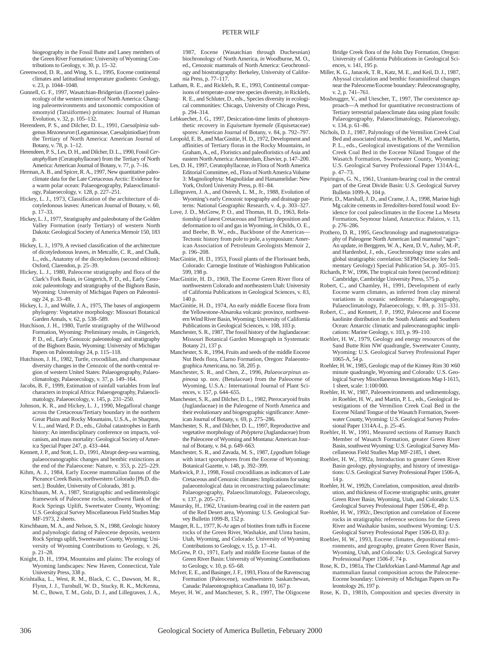biogeography in the Fossil Butte and Laney members of the Green River Formation: University of Wyoming Contributions to Geology, v. 30, p. 15–32.

- Greenwood, D. R., and Wing, S. L., 1995, Eocene continental climates and latitudinal temperature gradients: Geology, v. 23, p. 1044–1048.
- Gunnell, G. F., 1997, Wasatchian-Bridgerian (Eocene) paleoecology of the western interior of North America: Changing paleoenvironments and taxonomic composition of omomyid (Tarsiiformes) primates: Journal of Human Evolution, v. 32, p. 105–132.
- Herendeen, P. S., and Dilcher, D. L., 1991, *Caesalpinia* subgenus *Mezoneuron* (Leguminosae, Caesalpiniodiae) from the Tertiary of North America: American Journal of Botany, v. 78, p. 1–12.
- Herendeen, P. S., Les, D. H., and Dilcher, D. L., 1990, Fossil *Ceratophyllum* (Ceratophyllaceae) from the Tertiary of North America: American Journal of Botany, v. 77, p. 7–16.
- Herman, A. B., and Spicer, R. A., 1997, New quantitative paleoclimate data for the Late Cretaceous Arctic: Evidence for a warm polar ocean: Palaeogeography, Palaeoclimatology, Palaeoecology, v. 128, p. 227–251.
- Hickey, L. J., 1973, Classification of the architecture of dicotyledonous leaves: American Journal of Botany, v. 60, p. 17–33.
- Hickey, L. J., 1977, Stratigraphy and paleobotany of the Golden Valley Formation (early Tertiary) of western North Dakota: Geological Society of America Memoir 150, 183 p.
- Hickey, L. J., 1979, A revised classification of the architecture of dicotyledonous leaves, *in* Metcalfe, C. R., and Chalk, L., eds., Anatomy of the dicotyledons (second edition): Oxford, Clarendon, p. 25–39.
- Hickey, L. J., 1980, Paleocene stratigraphy and flora of the Clark's Fork Basin, *in* Gingerich, P. D., ed., Early Cenozoic paleontology and stratigraphy of the Bighorn Basin, Wyoming: University of Michigan Papers on Paleontology 24, p. 33–49.
- Hickey, L. J., and Wolfe, J. A., 1975, The bases of angiosperm phylogeny: Vegetative morphology: Missouri Botanical Garden Annals, v. 62, p. 538–589.
- Hutchison, J. H., 1980, Turtle stratigraphy of the Willwood Formation, Wyoming: Preliminary results, *in* Gingerich, P. D., ed., Early Cenozoic paleontology and stratigraphy of the Bighorn Basin, Wyoming: University of Michigan Papers on Paleontology 24, p. 115–118.
- Hutchison, J. H., 1982, Turtle, crocodilian, and champsosaur diversity changes in the Cenozoic of the north-central region of western United States: Palaeogeography, Palaeoclimatology, Palaeoecology, v. 37, p. 149–164.
- Jacobs, B. F., 1999, Estimation of rainfall variables from leaf characters in tropical Africa: Palaeogeography, Palaeoclimatology, Palaeoecology, v. 145, p. 231–250.
- Johnson, K. R., and Hickey, L. J., 1990, Megafloral change across the Cretaceous/Tertiary boundary in the northern Great Plains and Rocky Mountains, U.S.A., *in* Sharpton, V. L., and Ward, P. D., eds., Global catastrophes in Earth history: An interdisciplinary conference on impacts, volcanism, and mass mortality: Geological Society of America Special Paper 247, p. 433–444.
- Kennett, J. P., and Stott, L. D., 1991,Abrupt deep-sea warming, palaeoceanographic changes and benthic extinctions at the end of the Palaeocene: Nature, v. 353, p. 225–229.
- Kihm, A. J., 1984, Early Eocene mammalian faunas of the Piceance Creek Basin, northwestern Colorado [Ph.D. dissert.]: Boulder, University of Colorado, 381 p.
- Kirschbaum, M. A., 1987, Stratigraphic and sedimentologic framework of Paleocene rocks, southwest flank of the Rock Springs Uplift, Sweetwater County, Wyoming: U.S. Geological Survey Miscellaneous Field Studies Map MF-1973, 2 sheets.
- Kirschbaum, M. A., and Nelson, S. N., 1988, Geologic history and palynologic dating of Paleocene deposits, western Rock Springs uplift, Sweetwater County, Wyoming: University of Wyoming Contributions to Geology, v. 26, p. 21–28.
- Knight, D. H., 1994, Mountains and plains: The ecology of Wyoming landscapes: New Haven, Connecticut, Yale University Press, 338 p.
- Krishtalka, L., West, R. M., Black, C. C., Dawson, M. R., Flynn, J. J., Turnbull, W. D., Stucky, R. K., McKenna, M. C., Bown, T. M., Golz, D. J., and Lillegraven, J. A.,

1987, Eocene (Wasatchian through Duchesnian) biochronology of North America, *in* Woodburne, M. O., ed., Cenozoic mammals of North America: Geochronology and biostratigraphy: Berkeley, University of California Press, p. 77–117.

- Latham, R. E., and Ricklefs, R. E., 1993, Continental comparisons of temperate-zone tree species diversity, *in* Ricklefs, R. E., and Schluter, D., eds., Species diversity in ecological communities: Chicago, University of Chicago Press, p. 294–314.
- Lebkuecher, J. G., 1997, Desiccation-time limits of photosynthetic recovery in *Equisetum hyemale* (Equisetaceae) spores: American Journal of Botany, v. 84, p. 792–797.
- Leopold, E. B., and MacGinitie, H. D., 1972, Development and affinities of Tertiary floras in the Rocky Mountains, *in* Graham, A., ed., Floristics and paleofloristics of Asia and eastern North America: Amsterdam, Elsevier, p. 147-200.
- Les, D. H., 1997, Ceratophyllaceae, *in* Flora of North America Editorial Committee, ed., Flora of North America Volume 3: Magnoliophyta: Magnoliidae and Hamamelidae: New York, Oxford University Press, p. 81–84.
- Lillegraven, J. A., and Ostresh, L. M., Jr., 1988, Evolution of Wyoming's early Cenozoic topography and drainage patterns: National Geographic Research, v. 4, p. 303–327.
- Love, J. D., McGrew, P. O., and Thomas, H. D., 1963, Relationship of latest Cretaceous and Tertiary deposition and deformation to oil and gas in Wyoming, *in* Childs, O. E., and Beebe, B. W., eds., Backbone of the Americas— Tectonic history from pole to pole, a symposium: American Association of Petroleum Geologists Memoir 2, p. 196–208.
- MacGinitie, H. D., 1953, Fossil plants of the Florissant beds, Colorado: Carnegie Institute of Washington Publication 599, 198 p.
- MacGinitie, H. D., 1969, The Eocene Green River flora of northwestern Colorado and northeastern Utah: University of California Publications in Geological Sciences, v. 83, 140 p.
- MacGinitie, H. D., 1974, An early middle Eocene flora from the Yellowstone-Absaroka volcanic province, northwestern Wind River Basin, Wyoming: University of California Publications in Geological Sciences, v. 108, 103 p.
- Manchester, S. R., 1987, The fossil history of the Juglandaceae: Missouri Botanical Garden Monograph in Systematic Botany 21, 137 p.
- Manchester, S. R., 1994, Fruits and seeds of the middle Eocene Nut Beds flora, Clarno Formation, Oregon: Palaeontographica Americana, no. 58, 205 p.
- Manchester, S. R., and Chen, Z., 1996, *Palaeocarpinus aspinosa* sp. nov. (Betulaceae) from the Paleocene of Wyoming, U.S.A.: International Journal of Plant Sciences, v. 157, p. 644–655.
- Manchester, S. R., and Dilcher, D. L., 1982, Pterocaryoid fruits (Juglandaceae) in the Paleogene of North America and their evolutionary and biogeographic significance:American Journal of Botany, v. 69, p. 275–286.
- Manchester, S. R., and Dilcher, D. L., 1997, Reproductive and vegetative morphology of *Polyptera* (Juglandaceae) from the Paleocene of Wyoming and Montana: American Journal of Botany, v. 84, p. 649–663.
- Manchester, S. R., and Zavada, M. S., 1987, *Lygodium* foliage with intact sporophores from the Eocene of Wyoming: Botanical Gazette, v. 148, p. 392–399.
- Markwick, P. J., 1998, Fossil crocodilians as indicators of Late Cretaceous and Cenozoic climates: Implications for using palaeontological data in reconstructing palaeoclimate: Palaeogeography, Palaeoclimatology, Palaeoecology, v. 137, p. 205–271.
- Masursky, H., 1962, Uranium-bearing coal in the eastern part of the Red Desert area, Wyoming: U.S. Geological Survey Bulletin 1099-B, 152 p.
- Mauger, R. L., 1977, K-Ar ages of biotites from tuffs in Eocene rocks of the Green River, Washakie, and Uinta basins, Utah, Wyoming, and Colorado: University of Wyoming Contributions to Geology, v. 15, p. 17–41.
- McGrew, P. O., 1971, Early and middle Eocene faunas of the Green River Basin: University of Wyoming Contributions to Geology, v. 10, p. 65–68.
- McIver, E. E., and Basinger, J. F., 1993, Flora of the Ravenscrag Formation (Paleocene), southwestern Saskatchewan, Canada: Palaeontographica Canadiana 10, 167 p.
- Meyer, H. W., and Manchester, S. R., 1997, The Oligocene

Bridge Creek flora of the John Day Formation, Oregon: University of California Publications in Geological Sciences, v. 141, 195 p.

- Miller, K. G., Janacek, T. R., Katz, M. E., and Keil, D. J., 1987, Abyssal circulation and benthic foraminiferal changes near the Paleocene/Eocene boundary: Paleoceanography, v. 2, p. 741–761.
- Mosbrugger, V., and Utescher, T., 1997, The coexistence approach—A method for quantitative reconstructions of Tertiary terrestrial palaeoclimate data using plant fossils: Palaeogeography, Palaeoclimatology, Palaeoecology, v. 134, p. 61–86.
- Nichols, D. J., 1987, Palynology of the Vermilion Creek Coal Bed and associated strata, *in* Roehler, H. W., and Martin, P. L., eds., Geological investigations of the Vermilion Creek Coal Bed in the Eocene Niland Tongue of the Wasatch Formation, Sweetwater County, Wyoming: U.S. Geological Survey Professional Paper 1314A-L, p. 47–73.
- Pipiringos, G. N., 1961, Uranium-bearing coal in the central part of the Great Divide Basin: U.S. Geological Survey Bulletin 1099-A, 104 p.
- Pirrie, D., Marshall, J. D., and Crame, J. A., 1998, Marine high Mg calcite cements in *Teredolites*-bored fossil wood: Evidence for cool paleoclimates in the Eocene La Meseta Formation, Seymour Island, Antarctica: Palaios, v. 13, p. 276–286.
- Prothero, D. R., 1995, Geochronology and magnetostratigraphy of Paleogene North American land mammal "ages": An update, *in* Berggren, W. A., Kent, D. V., Aubry, M.-P., and Hardenbol, J., eds., Geochronology time scales and global stratigraphic correlation: SEPM (Society for Sedimentary Geology) Special Publication 54, p. 305–315.
- Richards, P. W., 1996, The tropical rain forest (second edition): Cambridge, Cambridge University Press, 575 p.
- Robert, C., and Chamley, H., 1991, Development of early Eocene warm climates, as inferred from clay mineral variations in oceanic sediments: Palaeogeography, Palaeoclimatology, Palaeoecology, v. 89, p. 315–331.
- Robert, C., and Kennett, J. P., 1992, Paleocene and Eocene kaolinite distribution in the South Atlantic and Southern Ocean: Antarctic climatic and paleoceanographic implications: Marine Geology, v. 103, p. 99–110.
- Roehler, H. W., 1979, Geology and energy resources of the Sand Butte Rim NW quadrangle, Sweetwater County, Wyoming: U.S. Geological Survey Professional Paper 1065-A, 54 p.
- Roehler, H. W., 1985, Geologic map of the Kinney Rim  $30 \times 60$ minute quadrangle, Wyoming and Colorado: U.S. Geological Survey Miscellaneous Investigations Map I-1615, 1 sheet, scale: 1:100 000.
- Roehler, H. W., 1987, Paleoenvironments and sedimentology, *in* Roehler, H. W., and Martin, P. L., eds., Geological investigations of the Vermilion Creek Coal Bed in the Eocene Niland Tongue of the Wasatch Formation, Sweetwater County, Wyoming: U.S. Geological Survey Professional Paper 1314A-L, p. 25–45.
- Roehler, H. W., 1991, Measured sections of Ramsey Ranch Member of Wasatch Formation, greater Green River Basin, southwest Wyoming: U.S. Geological Survey Miscellaneous Field Studies Map MF-2185, 1 sheet.
- Roehler, H. W., 1992a, Introduction to greater Green River Basin geology, physiography, and history of investigations: U.S. Geological Survey Professional Paper 1506-A, 14 p.
- Roehler, H. W., 1992b, Correlation, composition, areal distribution, and thickness of Eocene stratigraphic units, greater Green River Basin, Wyoming, Utah, and Colorado: U.S. Geological Survey Professional Paper 1506-E, 49 p.
- Roehler, H. W., 1992c, Description and correlation of Eocene rocks in stratigraphic reference sections for the Green River and Washakie basins, southwest Wyoming: U.S. Geological Survey Professional Paper 1506-D, 83 p.
- Roehler, H. W., 1993, Eocene climates, depositional environments, and geography, greater Green River Basin, Wyoming, Utah, and Colorado: U.S. Geological Survey Professional Paper 1506-F, 74 p.
- Rose, K. D., 1981a, The Clarkforkian Land-Mammal Age and mammalian faunal composition across the Paleocene-Eocene boundary: University of Michigan Papers on Paleontology 26, 197 p.
- Rose, K. D., 1981b, Composition and species diversity in